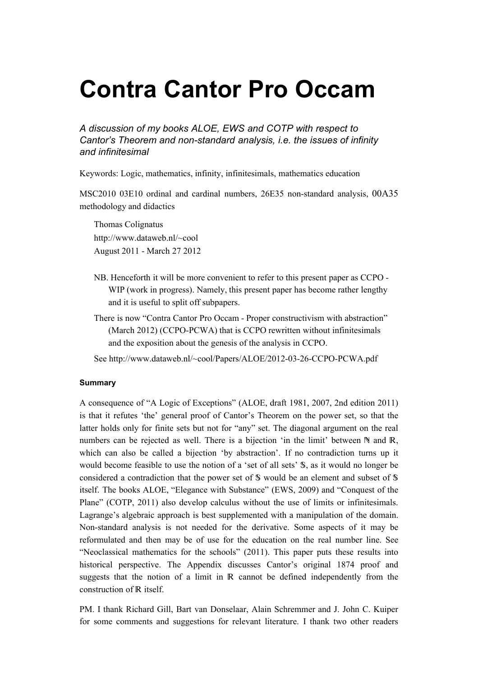# Contra Cantor Pro Occam

A discussion of my books ALOE, EWS and COTP with respect to Cantor's Theorem and non-standard analysis, i.e. the issues of infinity and infinitesimal

Keywords: Logic, mathematics, infinity, infinitesimals, mathematics education

MSC2010 03E10 ordinal and cardinal numbers, 26E35 non-standard analysis, 00A35 methodology and didactics

Thomas Colignatus http://www.dataweb.nl/~cool August 2011 - March 27 2012

- NB. Henceforth it will be more convenient to refer to this present paper as CCPO WIP (work in progress). Namely, this present paper has become rather lengthy and it is useful to split off subpapers.
- There is now "Contra Cantor Pro Occam Proper constructivism with abstraction" (March 2012) (CCPO-PCWA) that is CCPO rewritten without infinitesimals and the exposition about the genesis of the analysis in CCPO.

See http://www.dataweb.nl/~cool/Papers/ALOE/2012-03-26-CCPO-PCWA.pdf

## **Summary**

A consequence of "A Logic of Exceptions" (ALOE, draft 1981, 2007, 2nd edition 2011) is that it refutes 'the' general proof of Cantor's Theorem on the power set, so that the latter holds only for finite sets but not for "any" set. The diagonal argument on the real numbers can be rejected as well. There is a bijection 'in the limit' between  $\mathbb N$  and  $\mathbb R$ , which can also be called a bijection 'by abstraction'. If no contradiction turns up it would become feasible to use the notion of a 'set of all sets'  $\mathcal{S}$ , as it would no longer be considered a contradiction that the power set of  $\mathcal S$  would be an element and subset of  $\mathcal S$ itself. The books ALOE, "Elegance with Substance" (EWS, 2009) and "Conquest of the Plane" (COTP, 2011) also develop calculus without the use of limits or infinitesimals. Lagrange's algebraic approach is best supplemented with a manipulation of the domain. Non-standard analysis is not needed for the derivative. Some aspects of it may be reformulated and then may be of use for the education on the real number line. See "Neoclassical mathematics for the schools" (2011). This paper puts these results into historical perspective. The Appendix discusses Cantor's original 1874 proof and suggests that the notion of a limit in  $\mathbb R$  cannot be defined independently from the construction of R itself.

PM. I thank Richard Gill, Bart van Donselaar, Alain Schremmer and J. John C. Kuiper for some comments and suggestions for relevant literature. I thank two other readers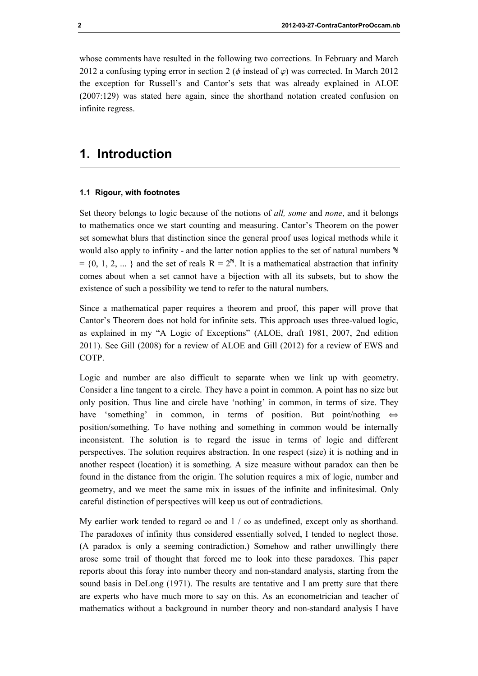whose comments have resulted in the following two corrections. In February and March 2012 a confusing typing error in section 2 ( $\phi$  instead of  $\varphi$ ) was corrected. In March 2012 the exception for Russell's and Cantor's sets that was already explained in ALOE (2007:129) was stated here again, since the shorthand notation created confusion on infinite regress.

# 1. Introduction

## 1.1 Rigour, with footnotes

Set theory belongs to logic because of the notions of all, some and none, and it belongs to mathematics once we start counting and measuring. Cantor's Theorem on the power set somewhat blurs that distinction since the general proof uses logical methods while it would also apply to infinity - and the latter notion applies to the set of natural numbers  $\mathbb N$  $= \{0, 1, 2, ... \}$  and the set of reals  $\mathbb{R} = 2^{\mathbb{N}}$ . It is a mathematical abstraction that infinity comes about when a set cannot have a bijection with all its subsets, but to show the existence of such a possibility we tend to refer to the natural numbers.

Since a mathematical paper requires a theorem and proof, this paper will prove that Cantor's Theorem does not hold for infinite sets. This approach uses three-valued logic, as explained in my "A Logic of Exceptions" (ALOE, draft 1981, 2007, 2nd edition 2011). See Gill (2008) for a review of ALOE and Gill (2012) for a review of EWS and COTP.

Logic and number are also difficult to separate when we link up with geometry. Consider a line tangent to a circle. They have a point in common. A point has no size but only position. Thus line and circle have 'nothing' in common, in terms of size. They have 'something' in common, in terms of position. But point/nothing  $\Leftrightarrow$ position/something. To have nothing and something in common would be internally inconsistent. The solution is to regard the issue in terms of logic and different perspectives. The solution requires abstraction. In one respect (size) it is nothing and in another respect (location) it is something. A size measure without paradox can then be found in the distance from the origin. The solution requires a mix of logic, number and geometry, and we meet the same mix in issues of the infinite and infinitesimal. Only careful distinction of perspectives will keep us out of contradictions.

My earlier work tended to regard  $\infty$  and  $1 / \infty$  as undefined, except only as shorthand. The paradoxes of infinity thus considered essentially solved, I tended to neglect those. (A paradox is only a seeming contradiction.) Somehow and rather unwillingly there arose some trail of thought that forced me to look into these paradoxes. This paper reports about this foray into number theory and non-standard analysis, starting from the sound basis in DeLong (1971). The results are tentative and I am pretty sure that there are experts who have much more to say on this. As an econometrician and teacher of mathematics without a background in number theory and non-standard analysis I have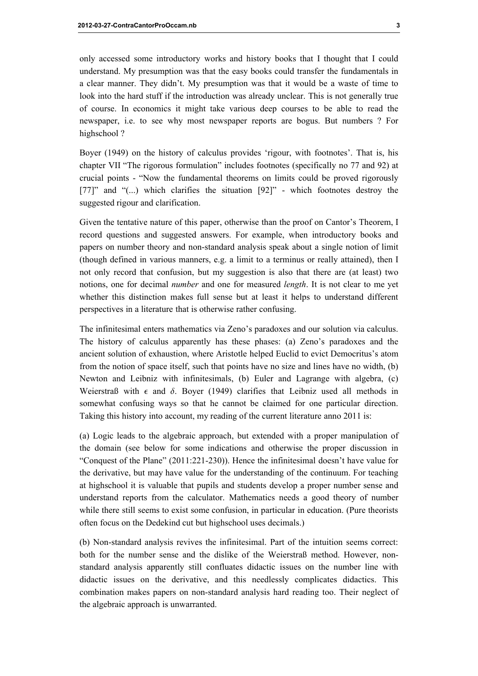only accessed some introductory works and history books that I thought that I could understand. My presumption was that the easy books could transfer the fundamentals in a clear manner. They didn't. My presumption was that it would be a waste of time to look into the hard stuff if the introduction was already unclear. This is not generally true of course. In economics it might take various deep courses to be able to read the newspaper, i.e. to see why most newspaper reports are bogus. But numbers ? For highschool?

Boyer (1949) on the history of calculus provides 'rigour, with footnotes'. That is, his chapter VII "The rigorous formulation" includes footnotes (specifically no 77 and 92) at crucial points - "Now the fundamental theorems on limits could be proved rigorously [77]" and "(...) which clarifies the situation [92]" - which footnotes destroy the suggested rigour and clarification.

Given the tentative nature of this paper, otherwise than the proof on Cantor's Theorem, I record questions and suggested answers. For example, when introductory books and papers on number theory and non-standard analysis speak about a single notion of limit (though defined in various manners, e.g. a limit to a terminus or really attained), then I not only record that confusion, but my suggestion is also that there are (at least) two notions, one for decimal *number* and one for measured *length*. It is not clear to me yet whether this distinction makes full sense but at least it helps to understand different perspectives in a literature that is otherwise rather confusing.

The infinitesimal enters mathematics via Zeno's paradoxes and our solution via calculus. The history of calculus apparently has these phases: (a) Zeno's paradoxes and the ancient solution of exhaustion, where Aristotle helped Euclid to evict Democritus's atom from the notion of space itself, such that points have no size and lines have no width, (b) Newton and Leibniz with infinitesimals, (b) Euler and Lagrange with algebra, (c) Weierstraß with  $\epsilon$  and  $\delta$ . Boyer (1949) clarifies that Leibniz used all methods in somewhat confusing ways so that he cannot be claimed for one particular direction. Taking this history into account, my reading of the current literature anno 2011 is:

(a) Logic leads to the algebraic approach, but extended with a proper manipulation of the domain (see below for some indications and otherwise the proper discussion in "Conquest of the Plane" (2011:221-230)). Hence the infinitesimal doesn't have value for the derivative, but may have value for the understanding of the continuum. For teaching at highschool it is valuable that pupils and students develop a proper number sense and understand reports from the calculator. Mathematics needs a good theory of number while there still seems to exist some confusion, in particular in education. (Pure theorists often focus on the Dedekind cut but highschool uses decimals.)

(b) Non-standard analysis revives the infinitesimal. Part of the intuition seems correct: both for the number sense and the dislike of the Weierstraß method. However, nonstandard analysis apparently still confluates didactic issues on the number line with didactic issues on the derivative, and this needlessly complicates didactics. This combination makes papers on non-standard analysis hard reading too. Their neglect of the algebraic approach is unwarranted.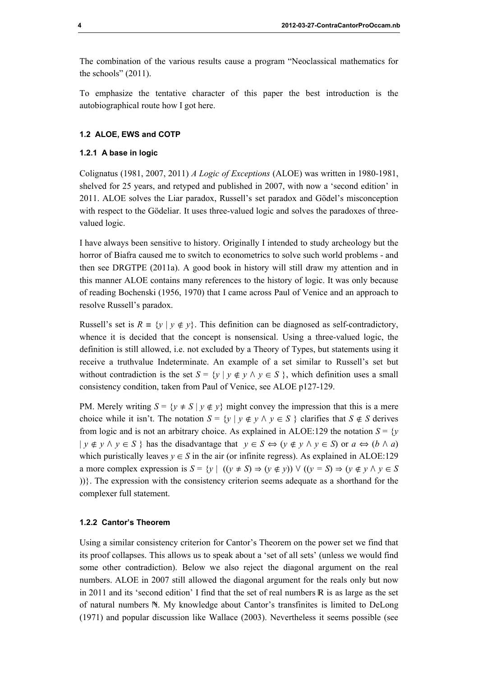The combination of the various results cause a program "Neoclassical mathematics for the schools" (2011).

To emphasize the tentative character of this paper the best introduction is the autobiographical route how I got here.

## 1.2 ALOE, EWS and COTP

#### 1.2.1 A base in logic

Colignatus (1981, 2007, 2011) A Logic of Exceptions (ALOE) was written in 1980-1981, shelved for 25 years, and retyped and published in 2007, with now a 'second edition' in 2011. ALOE solves the Liar paradox, Russell's set paradox and Gödel's misconception with respect to the Gödeliar. It uses three-valued logic and solves the paradoxes of threevalued logic.

I have always been sensitive to history. Originally I intended to study archeology but the horror of Biafra caused me to switch to econometrics to solve such world problems - and then see DRGTPE (2011a). A good book in history will still draw my attention and in this manner ALOE contains many references to the history of logic. It was only because of reading Bochenski (1956, 1970) that I came across Paul of Venice and an approach to resolve Russell's paradox.

Russell's set is  $R = \{y \mid y \notin y\}$ . This definition can be diagnosed as self-contradictory, whence it is decided that the concept is nonsensical. Using a three-valued logic, the definition is still allowed, i.e. not excluded by a Theory of Types, but statements using it receive a truthvalue Indeterminate. An example of a set similar to Russell's set but without contradiction is the set  $S = \{y | y \notin y \land y \in S \}$ , which definition uses a small consistency condition, taken from Paul of Venice, see ALOE p127-129.

PM. Merely writing  $S = \{y \neq S \mid y \notin y\}$  might convey the impression that this is a mere choice while it isn't. The notation  $S = \{y \mid y \notin y \land y \in S\}$  clarifies that  $S \notin S$  derives from logic and is not an arbitrary choice. As explained in ALOE:129 the notation  $S = \{v\}$  $|v \notin v \wedge v \in S$  } has the disadvantage that  $v \in S \Leftrightarrow (v \notin v \wedge v \in S)$  or  $a \Leftrightarrow (b \wedge a)$ which puristically leaves  $y \in S$  in the air (or infinite regress). As explained in ALOE:129 a more complex expression is  $S = \{y \mid ((y \neq S) \Rightarrow (y \notin y)) \vee ((y = S) \Rightarrow (y \notin y \land y \in S$ ))}. The expression with the consistency criterion seems adequate as a shorthand for the complexer full statement.

#### 1.2.2 Cantor's Theorem

Using a similar consistency criterion for Cantor's Theorem on the power set we find that its proof collapses. This allows us to speak about a 'set of all sets' (unless we would find some other contradiction). Below we also reject the diagonal argument on the real numbers. ALOE in 2007 still allowed the diagonal argument for the reals only but now in 2011 and its 'second edition' I find that the set of real numbers  $\mathbb R$  is as large as the set of natural numbers  $\mathbb N$ . My knowledge about Cantor's transfinites is limited to DeLong (1971) and popular discussion like Wallace (2003). Nevertheless it seems possible (see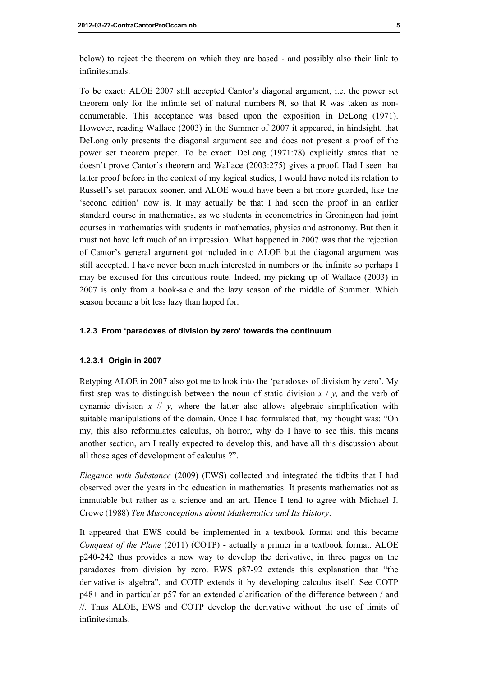below) to reject the theorem on which they are based - and possibly also their link to infinitesimals.

To be exact: ALOE 2007 still accepted Cantor's diagonal argument, i.e. the power set theorem only for the infinite set of natural numbers  $N$ , so that  $R$  was taken as nondenumerable. This acceptance was based upon the exposition in DeLong (1971). However, reading Wallace (2003) in the Summer of 2007 it appeared, in hindsight, that DeLong only presents the diagonal argument sec and does not present a proof of the power set theorem proper. To be exact: DeLong (1971:78) explicitly states that he doesn't prove Cantor's theorem and Wallace (2003:275) gives a proof. Had I seen that latter proof before in the context of my logical studies, I would have noted its relation to Russell's set paradox sooner, and ALOE would have been a bit more guarded, like the 'second edition' now is. It may actually be that I had seen the proof in an earlier standard course in mathematics, as we students in econometrics in Groningen had joint courses in mathematics with students in mathematics, physics and astronomy. But then it must not have left much of an impression. What happened in 2007 was that the rejection of Cantor's general argument got included into ALOE but the diagonal argument was still accepted. I have never been much interested in numbers or the infinite so perhaps I may be excused for this circuitous route. Indeed, my picking up of Wallace (2003) in 2007 is only from a book-sale and the lazy season of the middle of Summer. Which season became a bit less lazy than hoped for.

#### 1.2.3 From 'paradoxes of division by zero' towards the continuum

#### 1.2.3.1 Origin in 2007

Retyping ALOE in 2007 also got me to look into the 'paradoxes of division by zero'. My first step was to distinguish between the noun of static division  $x / y$ , and the verb of dynamic division  $x \# y$ , where the latter also allows algebraic simplification with suitable manipulations of the domain. Once I had formulated that, my thought was: "Oh my, this also reformulates calculus, oh horror, why do I have to see this, this means another section, am I really expected to develop this, and have all this discussion about all those ages of development of calculus ?".

Elegance with Substance (2009) (EWS) collected and integrated the tidbits that I had observed over the years in the education in mathematics. It presents mathematics not as immutable but rather as a science and an art. Hence I tend to agree with Michael J. Crowe (1988) Ten Misconceptions about Mathematics and Its History.

It appeared that EWS could be implemented in a textbook format and this became Conquest of the Plane (2011) (COTP) - actually a primer in a textbook format. ALOE p240-242 thus provides a new way to develop the derivative, in three pages on the paradoxes from division by zero. EWS p87-92 extends this explanation that "the derivative is algebra", and COTP extends it by developing calculus itself. See COTP p48+ and in particular p57 for an extended clarification of the difference between / and //. Thus ALOE, EWS and COTP develop the derivative without the use of limits of infinitesimals.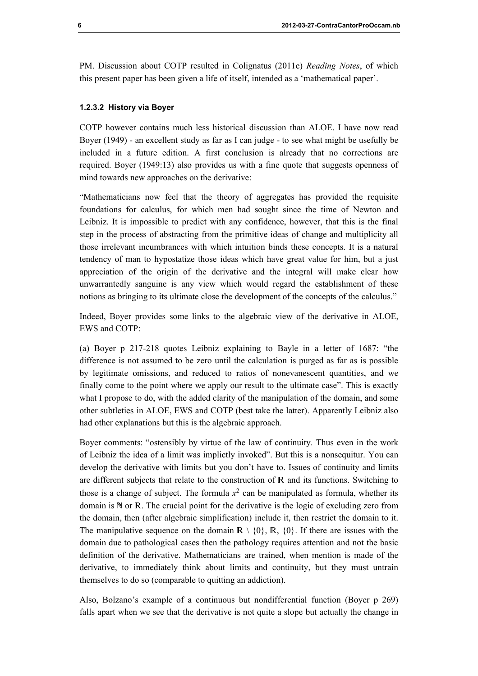PM. Discussion about COTP resulted in Colignatus (2011e) Reading Notes, of which this present paper has been given a life of itself, intended as a 'mathematical paper'.

### 1.2.3.2 History via Boyer

COTP however contains much less historical discussion than ALOE. I have now read Boyer (1949) - an excellent study as far as I can judge - to see what might be usefully be included in a future edition. A first conclusion is already that no corrections are required. Boyer (1949:13) also provides us with a fine quote that suggests openness of mind towards new approaches on the derivative:

"Mathematicians now feel that the theory of aggregates has provided the requisite foundations for calculus, for which men had sought since the time of Newton and Leibniz. It is impossible to predict with any confidence, however, that this is the final step in the process of abstracting from the primitive ideas of change and multiplicity all those irrelevant incumbrances with which intuition binds these concepts. It is a natural tendency of man to hypostatize those ideas which have great value for him, but a just appreciation of the origin of the derivative and the integral will make clear how unwarrantedly sanguine is any view which would regard the establishment of these notions as bringing to its ultimate close the development of the concepts of the calculus."

Indeed, Boyer provides some links to the algebraic view of the derivative in ALOE, EWS and COTP:

(a) Boyer p 217-218 quotes Leibniz explaining to Bayle in a letter of 1687: "the difference is not assumed to be zero until the calculation is purged as far as is possible by legitimate omissions, and reduced to ratios of nonevanescent quantities, and we finally come to the point where we apply our result to the ultimate case". This is exactly what I propose to do, with the added clarity of the manipulation of the domain, and some other subtleties in ALOE, EWS and COTP (best take the latter). Apparently Leibniz also had other explanations but this is the algebraic approach.

Boyer comments: "ostensibly by virtue of the law of continuity. Thus even in the work of Leibniz the idea of a limit was implictly invoked". But this is a nonsequitur. You can develop the derivative with limits but you don't have to. Issues of continuity and limits are different subjects that relate to the construction of  $R$  and its functions. Switching to those is a change of subject. The formula  $x^2$  can be manipulated as formula, whether its domain is N or R. The crucial point for the derivative is the logic of excluding zero from the domain, then (after algebraic simplification) include it, then restrict the domain to it. The manipulative sequence on the domain  $\mathbb{R} \setminus \{0\}$ ,  $\mathbb{R}$ ,  $\{0\}$ . If there are issues with the domain due to pathological cases then the pathology requires attention and not the basic definition of the derivative. Mathematicians are trained, when mention is made of the derivative, to immediately think about limits and continuity, but they must untrain themselves to do so (comparable to quitting an addiction).

Also, Bolzano's example of a continuous but nondifferential function (Boyer p 269) falls apart when we see that the derivative is not quite a slope but actually the change in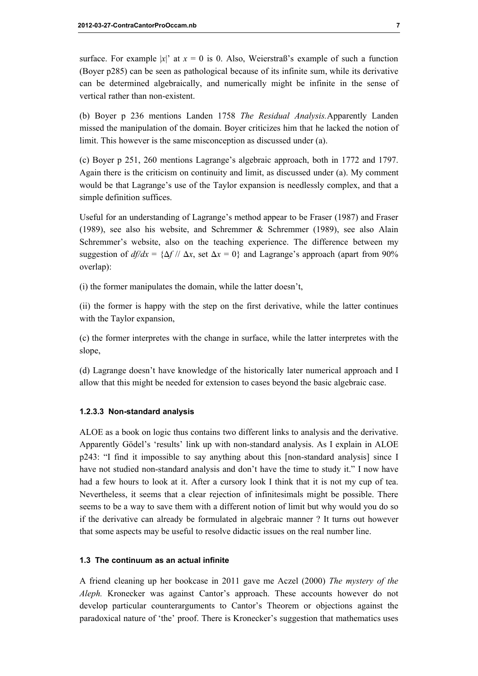surface. For example |x|' at  $x = 0$  is 0. Also, Weierstraß's example of such a function (Boyer p285) can be seen as pathological because of its infinite sum, while its derivative can be determined algebraically, and numerically might be infinite in the sense of vertical rather than non-existent.

(b) Boyer p 236 mentions Landen 1758 The Residual Analysis.Apparently Landen missed the manipulation of the domain. Boyer criticizes him that he lacked the notion of limit. This however is the same misconception as discussed under (a).

(c) Boyer p 251, 260 mentions Lagrange's algebraic approach, both in 1772 and 1797. Again there is the criticism on continuity and limit, as discussed under (a). My comment would be that Lagrange's use of the Taylor expansion is needlessly complex, and that a simple definition suffices.

Useful for an understanding of Lagrange's method appear to be Fraser (1987) and Fraser (1989), see also his website, and Schremmer & Schremmer (1989), see also Alain Schremmer's website, also on the teaching experience. The difference between my suggestion of  $d\mathfrak{f}/dx = {\Delta f}/\Delta x$ , set  $\Delta x = 0$ } and Lagrange's approach (apart from 90%) overlap):

(i) the former manipulates the domain, while the latter doesn't,

(ii) the former is happy with the step on the first derivative, while the latter continues with the Taylor expansion,

(c) the former interpretes with the change in surface, while the latter interpretes with the slope,

(d) Lagrange doesn't have knowledge of the historically later numerical approach and I allow that this might be needed for extension to cases beyond the basic algebraic case.

#### 1.2.3.3 Non-standard analysis

ALOE as a book on logic thus contains two different links to analysis and the derivative. Apparently Gödel's 'results' link up with non-standard analysis. As I explain in ALOE p243: "I find it impossible to say anything about this [non-standard analysis] since I have not studied non-standard analysis and don't have the time to study it." I now have had a few hours to look at it. After a cursory look I think that it is not my cup of tea. Nevertheless, it seems that a clear rejection of infinitesimals might be possible. There seems to be a way to save them with a different notion of limit but why would you do so if the derivative can already be formulated in algebraic manner ? It turns out however that some aspects may be useful to resolve didactic issues on the real number line.

#### 1.3 The continuum as an actual infinite

A friend cleaning up her bookcase in 2011 gave me Aczel (2000) The mystery of the Aleph. Kronecker was against Cantor's approach. These accounts however do not develop particular counterarguments to Cantor's Theorem or objections against the paradoxical nature of 'the' proof. There is Kronecker's suggestion that mathematics uses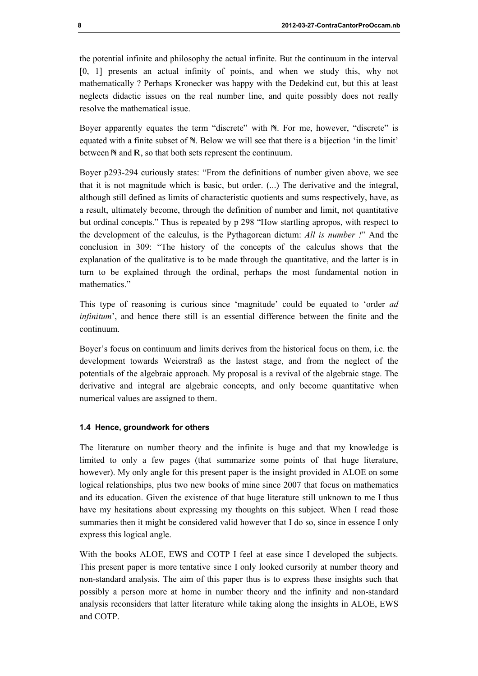the potential infinite and philosophy the actual infinite. But the continuum in the interval [0, 1] presents an actual infinity of points, and when we study this, why not mathematically ? Perhaps Kronecker was happy with the Dedekind cut, but this at least neglects didactic issues on the real number line, and quite possibly does not really resolve the mathematical issue.

Boyer apparently equates the term "discrete" with N. For me, however, "discrete" is equated with a finite subset of  $\mathbb N$ . Below we will see that there is a bijection 'in the limit' between  $\mathbb N$  and  $\mathbb R$ , so that both sets represent the continuum.

Boyer p293-294 curiously states: "From the definitions of number given above, we see that it is not magnitude which is basic, but order. (...) The derivative and the integral, although still defined as limits of characteristic quotients and sums respectively, have, as a result, ultimately become, through the definition of number and limit, not quantitative but ordinal concepts." Thus is repeated by p 298 "How startling apropos, with respect to the development of the calculus, is the Pythagorean dictum: All is number !" And the conclusion in 309: "The history of the concepts of the calculus shows that the explanation of the qualitative is to be made through the quantitative, and the latter is in turn to be explained through the ordinal, perhaps the most fundamental notion in mathematics."

This type of reasoning is curious since 'magnitude' could be equated to 'order *ad* infinitum', and hence there still is an essential difference between the finite and the continuum.

Boyer's focus on continuum and limits derives from the historical focus on them, i.e. the development towards Weierstraß as the lastest stage, and from the neglect of the potentials of the algebraic approach. My proposal is a revival of the algebraic stage. The derivative and integral are algebraic concepts, and only become quantitative when numerical values are assigned to them.

## 1.4 Hence, groundwork for others

The literature on number theory and the infinite is huge and that my knowledge is limited to only a few pages (that summarize some points of that huge literature, however). My only angle for this present paper is the insight provided in ALOE on some logical relationships, plus two new books of mine since 2007 that focus on mathematics and its education. Given the existence of that huge literature still unknown to me I thus have my hesitations about expressing my thoughts on this subject. When I read those summaries then it might be considered valid however that I do so, since in essence I only express this logical angle.

With the books ALOE, EWS and COTP I feel at ease since I developed the subjects. This present paper is more tentative since I only looked cursorily at number theory and non-standard analysis. The aim of this paper thus is to express these insights such that possibly a person more at home in number theory and the infinity and non-standard analysis reconsiders that latter literature while taking along the insights in ALOE, EWS and COTP.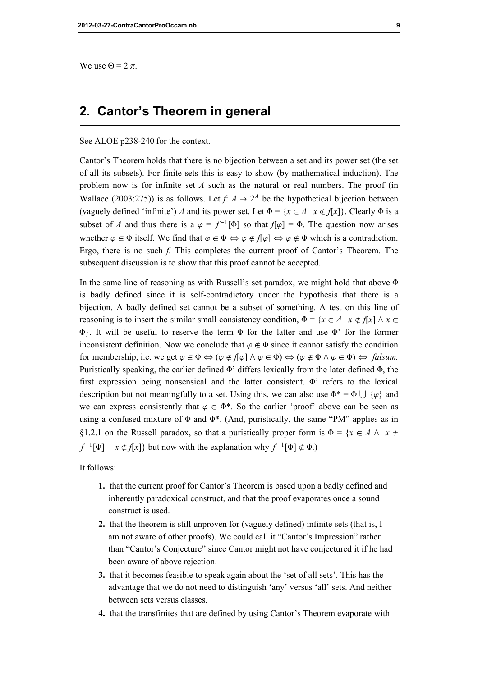We use  $\Theta = 2 \pi$ .

# 2. Cantor's Theorem in general

See ALOE p238-240 for the context.

Cantor's Theorem holds that there is no bijection between a set and its power set (the set of all its subsets). For finite sets this is easy to show (by mathematical induction). The problem now is for infinite set  $A$  such as the natural or real numbers. The proof (in Wallace (2003:275)) is as follows. Let  $f: A \rightarrow 2^A$  be the hypothetical bijection between (vaguely defined 'infinite') A and its power set. Let  $\Phi = \{x \in A \mid x \notin f[x]\}\.$  Clearly  $\Phi$  is a subset of A and thus there is a  $\varphi = f^{-1}[\Phi]$  so that  $f[\varphi] = \Phi$ . The question now arises whether  $\varphi \in \Phi$  itself. We find that  $\varphi \in \Phi \Leftrightarrow \varphi \notin f[\varphi] \Leftrightarrow \varphi \notin \Phi$  which is a contradiction. Ergo, there is no such f. This completes the current proof of Cantor's Theorem. The subsequent discussion is to show that this proof cannot be accepted.

In the same line of reasoning as with Russell's set paradox, we might hold that above  $\Phi$ is badly defined since it is self-contradictory under the hypothesis that there is a bijection. A badly defined set cannot be a subset of something. A test on this line of reasoning is to insert the similar small consistency condition,  $\Phi = \{x \in A \mid x \notin f[x] \land x \in$  $\Phi$ . It will be useful to reserve the term  $\Phi$  for the latter and use  $\Phi'$  for the former inconsistent definition. Now we conclude that  $\varphi \notin \Phi$  since it cannot satisfy the condition for membership, i.e. we get  $\varphi \in \Phi \Leftrightarrow (\varphi \notin f[\varphi] \land \varphi \in \Phi) \Leftrightarrow (\varphi \notin \Phi \land \varphi \in \Phi) \Leftrightarrow \text{ falsum.}$ Puristically speaking, the earlier defined  $\Phi'$  differs lexically from the later defined  $\Phi$ , the first expression being nonsensical and the latter consistent.  $\Phi$ <sup>2</sup> refers to the lexical description but not meaningfully to a set. Using this, we can also use  $\Phi^* = \Phi \cup {\varphi}$  and we can express consistently that  $\varphi \in \Phi^*$ . So the earlier 'proof' above can be seen as using a confused mixture of  $\Phi$  and  $\Phi^*$ . (And, puristically, the same "PM" applies as in §1.2.1 on the Russell paradox, so that a puristically proper form is  $\Phi = \{x \in A \land x \neq \emptyset\}$  $f^{-1}[\Phi] | x \notin f[x]$  but now with the explanation why  $f^{-1}[\Phi] \notin \Phi$ .

It follows:

- 1. that the current proof for Cantor's Theorem is based upon a badly defined and inherently paradoxical construct, and that the proof evaporates once a sound construct is used.
- 2. that the theorem is still unproven for (vaguely defined) infinite sets (that is, I am not aware of other proofs). We could call it "Cantor's Impression" rather than "Cantor's Conjecture" since Cantor might not have conjectured it if he had been aware of above rejection.
- 3. that it becomes feasible to speak again about the 'set of all sets'. This has the advantage that we do not need to distinguish 'any' versus 'all' sets. And neither between sets versus classes.
- 4. that the transfinites that are defined by using Cantor's Theorem evaporate with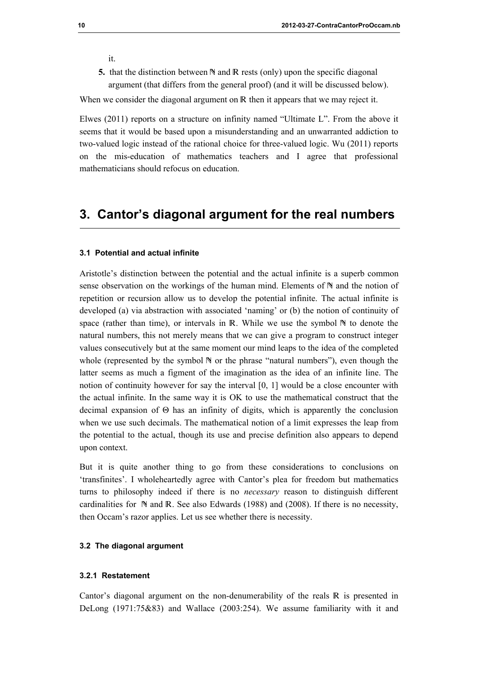it.

5. that the distinction between  $\mathbb N$  and  $\mathbb R$  rests (only) upon the specific diagonal argument (that differs from the general proof) (and it will be discussed below).

When we consider the diagonal argument on  $R$  then it appears that we may reject it.

Elwes (2011) reports on a structure on infinity named "Ultimate L". From the above it seems that it would be based upon a misunderstanding and an unwarranted addiction to two-valued logic instead of the rational choice for three-valued logic. Wu (2011) reports on the mis-education of mathematics teachers and I agree that professional mathematicians should refocus on education.

# 3. Cantor's diagonal argument for the real numbers

## 3.1 Potential and actual infinite

Aristotle's distinction between the potential and the actual infinite is a superb common sense observation on the workings of the human mind. Elements of  $N$  and the notion of repetition or recursion allow us to develop the potential infinite. The actual infinite is developed (a) via abstraction with associated 'naming' or (b) the notion of continuity of space (rather than time), or intervals in  $\mathbb R$ . While we use the symbol  $\mathbb N$  to denote the natural numbers, this not merely means that we can give a program to construct integer values consecutively but at the same moment our mind leaps to the idea of the completed whole (represented by the symbol  $\mathbb N$  or the phrase "natural numbers"), even though the latter seems as much a figment of the imagination as the idea of an infinite line. The notion of continuity however for say the interval [0, 1] would be a close encounter with the actual infinite. In the same way it is OK to use the mathematical construct that the decimal expansion of  $\Theta$  has an infinity of digits, which is apparently the conclusion when we use such decimals. The mathematical notion of a limit expresses the leap from the potential to the actual, though its use and precise definition also appears to depend upon context.

But it is quite another thing to go from these considerations to conclusions on 'transfinites'. I wholeheartedly agree with Cantor's plea for freedom but mathematics turns to philosophy indeed if there is no necessary reason to distinguish different cardinalities for  $\mathbb N$  and  $\mathbb R$ . See also Edwards (1988) and (2008). If there is no necessity, then Occam's razor applies. Let us see whether there is necessity.

## 3.2 The diagonal argument

## 3.2.1 Restatement

Cantor's diagonal argument on the non-denumerability of the reals  $\mathbb R$  is presented in DeLong (1971:75&83) and Wallace (2003:254). We assume familiarity with it and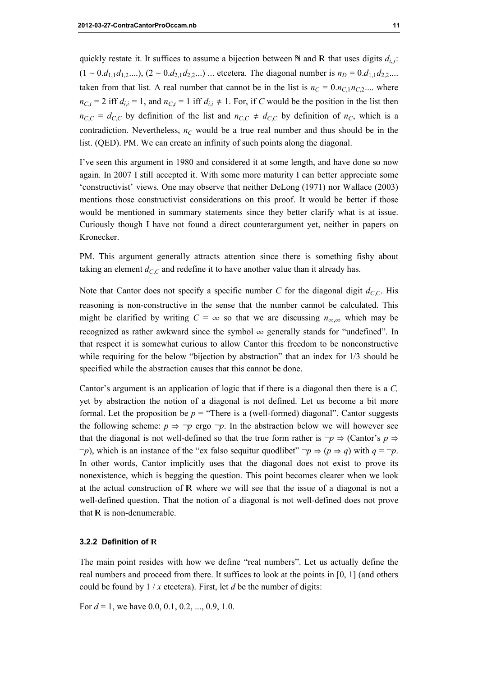quickly restate it. It suffices to assume a bijection between  $\mathbb N$  and  $\mathbb R$  that uses digits  $d_{i,j}$ :  $(1 \sim 0.d_{1,1}d_{1,2}....)$ ,  $(2 \sim 0.d_{2,1}d_{2,2}...)$  ... etcetera. The diagonal number is  $n_D = 0.d_{1,1}d_{2,2}....$ taken from that list. A real number that cannot be in the list is  $n_C = 0.n_{C,1}n_{C,2}...$  where  $n_{C,i} = 2$  iff  $d_{i,i} = 1$ , and  $n_{C,i} = 1$  iff  $d_{i,i} \neq 1$ . For, if C would be the position in the list then  $n_{C,C} = d_{C,C}$  by definition of the list and  $n_{C,C} \neq d_{C,C}$  by definition of  $n_C$ , which is a contradiction. Nevertheless,  $n<sub>C</sub>$  would be a true real number and thus should be in the list. (QED). PM. We can create an infinity of such points along the diagonal.

I've seen this argument in 1980 and considered it at some length, and have done so now again. In 2007 I still accepted it. With some more maturity I can better appreciate some 'constructivist' views. One may observe that neither DeLong (1971) nor Wallace (2003) mentions those constructivist considerations on this proof. It would be better if those would be mentioned in summary statements since they better clarify what is at issue. Curiously though I have not found a direct counterargument yet, neither in papers on Kronecker.

PM. This argument generally attracts attention since there is something fishy about taking an element  $d_{C,C}$  and redefine it to have another value than it already has.

Note that Cantor does not specify a specific number C for the diagonal digit  $d_{C,C}$ . His reasoning is non-constructive in the sense that the number cannot be calculated. This might be clarified by writing  $C = \infty$  so that we are discussing  $n_{\infty,\infty}$  which may be recognized as rather awkward since the symbol  $\infty$  generally stands for "undefined". In that respect it is somewhat curious to allow Cantor this freedom to be nonconstructive while requiring for the below "bijection by abstraction" that an index for 1/3 should be specified while the abstraction causes that this cannot be done.

Cantor's argument is an application of logic that if there is a diagonal then there is a C, yet by abstraction the notion of a diagonal is not defined. Let us become a bit more formal. Let the proposition be  $p =$  "There is a (well-formed) diagonal". Cantor suggests the following scheme:  $p \Rightarrow \neg p$  ergo  $\neg p$ . In the abstraction below we will however see that the diagonal is not well-defined so that the true form rather is  $\neg p \Rightarrow$  (Cantor's  $p \Rightarrow$  $\neg p$ ), which is an instance of the "ex falso sequitur quodlibet"  $\neg p \Rightarrow (p \Rightarrow q)$  with  $q = \neg p$ . In other words, Cantor implicitly uses that the diagonal does not exist to prove its nonexistence, which is begging the question. This point becomes clearer when we look at the actual construction of  $R$  where we will see that the issue of a diagonal is not a well-defined question. That the notion of a diagonal is not well-defined does not prove that  $\mathbb R$  is non-denumerable.

## 3.2.2 Definition of

The main point resides with how we define "real numbers". Let us actually define the real numbers and proceed from there. It suffices to look at the points in [0, 1] (and others could be found by  $1/x$  etcetera). First, let d be the number of digits:

For  $d = 1$ , we have 0.0, 0.1, 0.2, ..., 0.9, 1.0.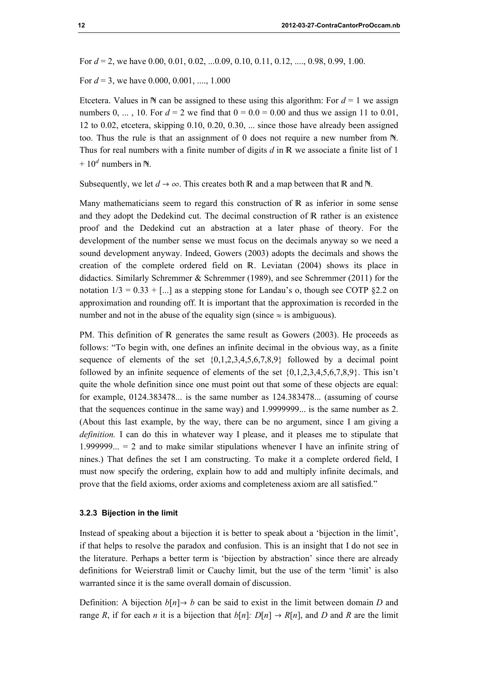For  $d = 2$ , we have 0.00, 0.01, 0.02, ...0.09, 0.10, 0.11, 0.12, ..., 0.98, 0.99, 1.00.

For  $d = 3$ , we have 0.000, 0.001, ..., 1.000

Etcetera. Values in  $\mathbb N$  can be assigned to these using this algorithm: For  $d = 1$  we assign numbers 0, ..., 10. For  $d = 2$  we find that  $0 = 0.0 = 0.00$  and thus we assign 11 to 0.01, 12 to 0.02, etcetera, skipping 0.10, 0.20, 0.30, ... since those have already been assigned too. Thus the rule is that an assignment of 0 does not require a new number from  $\mathbb{N}$ . Thus for real numbers with a finite number of digits  $d$  in  $\mathbb R$  we associate a finite list of 1 +  $10^d$  numbers in N.

Subsequently, we let  $d \to \infty$ . This creates both R and a map between that R and N.

Many mathematicians seem to regard this construction of  $\mathbb R$  as inferior in some sense and they adopt the Dedekind cut. The decimal construction of  $R$  rather is an existence proof and the Dedekind cut an abstraction at a later phase of theory. For the development of the number sense we must focus on the decimals anyway so we need a sound development anyway. Indeed, Gowers (2003) adopts the decimals and shows the creation of the complete ordered field on R. Leviatan (2004) shows its place in didactics. Similarly Schremmer & Schremmer (1989), and see Schremmer (2011) for the notation  $1/3 = 0.33 +$  [...] as a stepping stone for Landau's o, though see COTP §2.2 on approximation and rounding off. It is important that the approximation is recorded in the number and not in the abuse of the equality sign (since  $\approx$  is ambiguous).

PM. This definition of R generates the same result as Gowers (2003). He proceeds as follows: "To begin with, one defines an infinite decimal in the obvious way, as a finite sequence of elements of the set  ${0,1,2,3,4,5,6,7,8,9}$  followed by a decimal point followed by an infinite sequence of elements of the set  $\{0,1,2,3,4,5,6,7,8,9\}$ . This isn't quite the whole definition since one must point out that some of these objects are equal: for example, 0124.383478... is the same number as 124.383478... (assuming of course that the sequences continue in the same way) and 1.9999999... is the same number as 2. (About this last example, by the way, there can be no argument, since I am giving a definition. I can do this in whatever way I please, and it pleases me to stipulate that 1.999999... = 2 and to make similar stipulations whenever I have an infinite string of nines.) That defines the set I am constructing. To make it a complete ordered field, I must now specify the ordering, explain how to add and multiply infinite decimals, and prove that the field axioms, order axioms and completeness axiom are all satisfied."

#### 3.2.3 Bijection in the limit

Instead of speaking about a bijection it is better to speak about a 'bijection in the limit', if that helps to resolve the paradox and confusion. This is an insight that I do not see in the literature. Perhaps a better term is 'bijection by abstraction' since there are already definitions for Weierstraß limit or Cauchy limit, but the use of the term 'limit' is also warranted since it is the same overall domain of discussion.

Definition: A bijection  $b[n] \rightarrow b$  can be said to exist in the limit between domain D and range R, if for each n it is a bijection that  $b[n]$ :  $D[n] \rightarrow R[n]$ , and D and R are the limit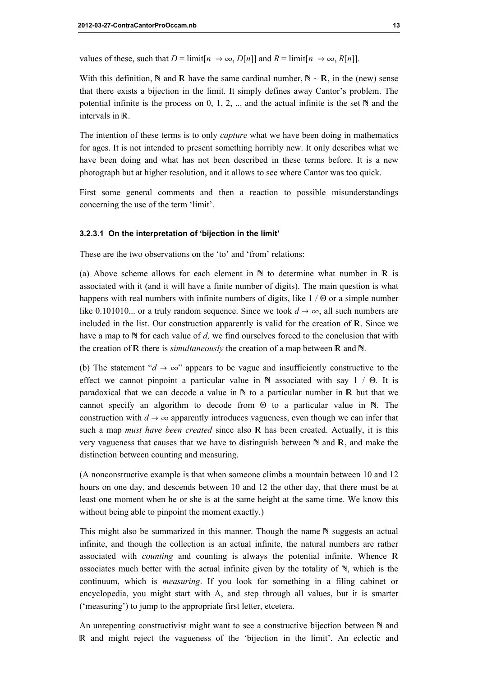values of these, such that  $D = \lim_{h \to \infty} D[h]$  and  $R = \lim_{h \to \infty} R[h]$ .

With this definition,  $\mathbb N$  and  $\mathbb R$  have the same cardinal number,  $\mathbb N \sim \mathbb R$ , in the (new) sense that there exists a bijection in the limit. It simply defines away Cantor's problem. The potential infinite is the process on  $0, 1, 2, \ldots$  and the actual infinite is the set  $\mathbb N$  and the intervals in  $\mathbb R$ .

The intention of these terms is to only *capture* what we have been doing in mathematics for ages. It is not intended to present something horribly new. It only describes what we have been doing and what has not been described in these terms before. It is a new photograph but at higher resolution, and it allows to see where Cantor was too quick.

First some general comments and then a reaction to possible misunderstandings concerning the use of the term 'limit'.

#### 3.2.3.1 On the interpretation of 'bijection in the limit'

These are the two observations on the 'to' and 'from' relations:

(a) Above scheme allows for each element in  $\mathbb N$  to determine what number in  $\mathbb R$  is associated with it (and it will have a finite number of digits). The main question is what happens with real numbers with infinite numbers of digits, like  $1/\Theta$  or a simple number like 0.101010... or a truly random sequence. Since we took  $d \rightarrow \infty$ , all such numbers are included in the list. Our construction apparently is valid for the creation of  $\mathbb{R}$ . Since we have a map to  $\mathbb N$  for each value of d, we find ourselves forced to the conclusion that with the creation of  $\mathbb R$  there is *simultaneously* the creation of a map between  $\mathbb R$  and  $\mathbb N$ .

(b) The statement " $d \rightarrow \infty$ " appears to be vague and insufficiently constructive to the effect we cannot pinpoint a particular value in  $\aleph$  associated with say 1 /  $\Theta$ . It is paradoxical that we can decode a value in  $\mathbb N$  to a particular number in  $\mathbb R$  but that we cannot specify an algorithm to decode from  $\Theta$  to a particular value in  $\mathbb{N}$ . The construction with  $d \to \infty$  apparently introduces vagueness, even though we can infer that such a map *must have been created* since also  $\mathbb R$  has been created. Actually, it is this very vagueness that causes that we have to distinguish between  $\mathbb N$  and  $\mathbb R$ , and make the distinction between counting and measuring.

(A nonconstructive example is that when someone climbs a mountain between 10 and 12 hours on one day, and descends between 10 and 12 the other day, that there must be at least one moment when he or she is at the same height at the same time. We know this without being able to pinpoint the moment exactly.)

This might also be summarized in this manner. Though the name  $\mathbb N$  suggests an actual infinite, and though the collection is an actual infinite, the natural numbers are rather associated with *counting* and counting is always the potential infinite. Whence R associates much better with the actual infinite given by the totality of  $\mathbb{N}$ , which is the continuum, which is measuring. If you look for something in a filing cabinet or encyclopedia, you might start with A, and step through all values, but it is smarter ('measuring') to jump to the appropriate first letter, etcetera.

An unrepenting constructivist might want to see a constructive bijection between  $\mathbb N$  and R and might reject the vagueness of the 'bijection in the limit'. An eclectic and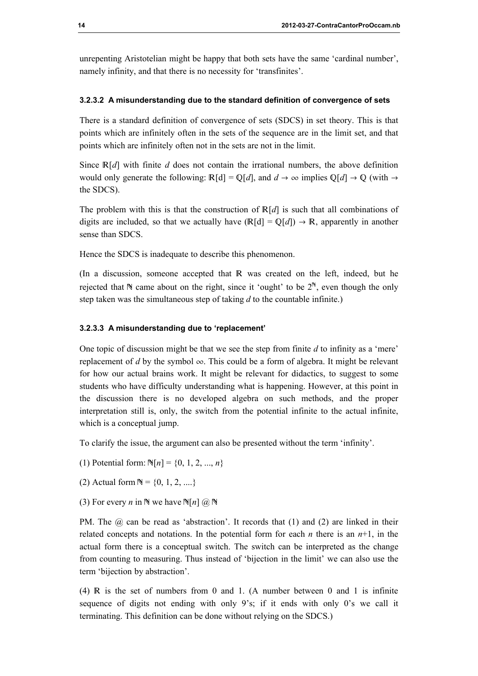unrepenting Aristotelian might be happy that both sets have the same 'cardinal number', namely infinity, and that there is no necessity for 'transfinites'.

#### 3.2.3.2 A misunderstanding due to the standard definition of convergence of sets

There is a standard definition of convergence of sets (SDCS) in set theory. This is that points which are infinitely often in the sets of the sequence are in the limit set, and that points which are infinitely often not in the sets are not in the limit.

Since  $\mathbb{R}[d]$  with finite d does not contain the irrational numbers, the above definition would only generate the following:  $\mathbb{R}[d] = \mathbb{Q}[d]$ , and  $d \to \infty$  implies  $\mathbb{Q}[d] \to \mathbb{Q}$  (with  $\to$ the SDCS).

The problem with this is that the construction of  $\mathbb{R}[d]$  is such that all combinations of digits are included, so that we actually have  $(\mathbb{R}[d] = \mathbb{Q}[d]) \to \mathbb{R}$ , apparently in another sense than SDCS.

Hence the SDCS is inadequate to describe this phenomenon.

(In a discussion, someone accepted that  $\mathbb R$  was created on the left, indeed, but he rejected that  $\mathbb N$  came about on the right, since it 'ought' to be  $2^{\mathbb N}$ , even though the only step taken was the simultaneous step of taking  $d$  to the countable infinite.)

#### 3.2.3.3 A misunderstanding due to 'replacement'

One topic of discussion might be that we see the step from finite  $d$  to infinity as a 'mere' replacement of d by the symbol  $\infty$ . This could be a form of algebra. It might be relevant for how our actual brains work. It might be relevant for didactics, to suggest to some students who have difficulty understanding what is happening. However, at this point in the discussion there is no developed algebra on such methods, and the proper interpretation still is, only, the switch from the potential infinite to the actual infinite, which is a conceptual jump.

To clarify the issue, the argument can also be presented without the term 'infinity'.

- (1) Potential form:  $\mathbb{N}[n] = \{0, 1, 2, ..., n\}$
- (2) Actual form  $N = \{0, 1, 2, ... \}$
- (3) For every *n* in  $\mathbb N$  we have  $\mathbb N[n]$  (*a*)  $\mathbb N$

PM. The  $\omega$  can be read as 'abstraction'. It records that (1) and (2) are linked in their related concepts and notations. In the potential form for each *n* there is an  $n+1$ , in the actual form there is a conceptual switch. The switch can be interpreted as the change from counting to measuring. Thus instead of 'bijection in the limit' we can also use the term 'bijection by abstraction'.

 $(4)$  R is the set of numbers from 0 and 1. (A number between 0 and 1 is infinite sequence of digits not ending with only 9's; if it ends with only 0's we call it terminating. This definition can be done without relying on the SDCS.)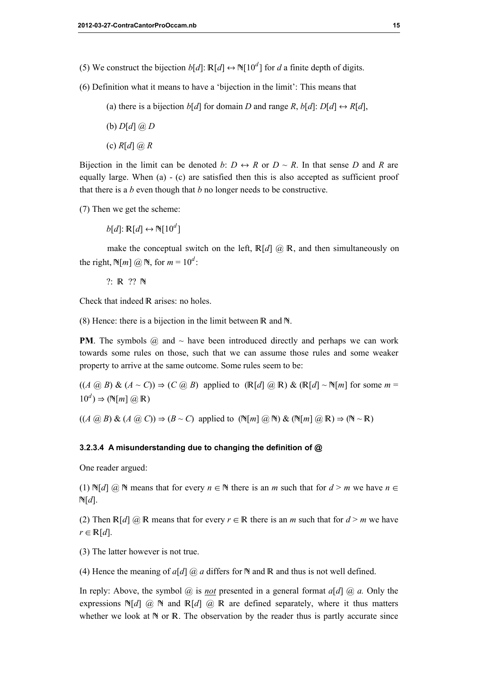- (5) We construct the bijection  $b[d]$ :  $\mathbb{R}[d] \leftrightarrow \mathbb{N}[10^d]$  for d a finite depth of digits.
- (6) Definition what it means to have a 'bijection in the limit': This means that
	- (a) there is a bijection  $b[d]$  for domain D and range R,  $b[d]$ :  $D[d] \leftrightarrow R[d]$ ,
	- (b)  $D[d]$   $\omega$   $D$
	- (c)  $R[d]$   $@$   $R$

Bijection in the limit can be denoted b:  $D \leftrightarrow R$  or  $D \sim R$ . In that sense D and R are equally large. When (a) - (c) are satisfied then this is also accepted as sufficient proof that there is a  $b$  even though that  $b$  no longer needs to be constructive.

(7) Then we get the scheme:

 $b[d]$ :  $\mathbb{R}[d] \leftrightarrow \mathbb{N}[10^d]$ 

make the conceptual switch on the left,  $\mathbb{R}[d]$   $\omega \mathbb{R}$ , and then simultaneously on the right,  $\mathbb{N}[m]$   $\omega \mathbb{N}$ , for  $m = 10^d$ :

 $?: \mathbb{R}$   $?? \mathbb{N}$ 

Check that indeed R arises: no holes.

(8) Hence: there is a bijection in the limit between  $\mathbb R$  and  $\mathbb N$ .

**PM**. The symbols  $\omega$  and  $\sim$  have been introduced directly and perhaps we can work towards some rules on those, such that we can assume those rules and some weaker property to arrive at the same outcome. Some rules seem to be:

 $((A \omega B) \& (A \sim C)) \Rightarrow (C \omega B)$  applied to  $(\mathbb{R}[d] \omega \mathbb{R}) \& (\mathbb{R}[d] \sim \mathbb{N}[m])$  for some  $m =$  $10^d$ )  $\Rightarrow$  (N[m] @ R)

 $((A \omega B) \& (A \omega C)) \Rightarrow (B \sim C)$  applied to  $(\mathbb{N}[m] \omega \mathbb{N}) \& (\mathbb{N}[m] \omega \mathbb{R}) \Rightarrow (\mathbb{N} \sim \mathbb{R})$ 

#### 3.2.3.4 A misunderstanding due to changing the definition of @

One reader argued:

(1)  $\mathbb{N}[d]$   $\widehat{\omega}$   $\mathbb{N}$  means that for every  $n \in \mathbb{N}$  there is an m such that for  $d > m$  we have  $n \in \mathbb{N}$  $\mathbb{N}[d]$ .

(2) Then  $\mathbb{R}[d]$  @ R means that for every  $r \in \mathbb{R}$  there is an *m* such that for  $d > m$  we have  $r \in \mathbb{R}[d].$ 

(3) The latter however is not true.

(4) Hence the meaning of  $a[d]$  @ a differs for  $\mathbb N$  and  $\mathbb R$  and thus is not well defined.

In reply: Above, the symbol  $\omega$  is not presented in a general format  $a[d]$   $\omega$  a. Only the expressions  $N[d]$  @  $N$  and  $R[d]$  @ R are defined separately, where it thus matters whether we look at  $\mathbb N$  or  $\mathbb R$ . The observation by the reader thus is partly accurate since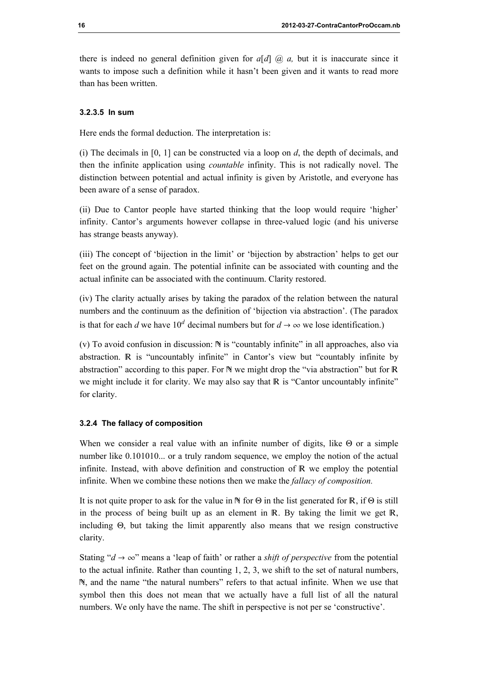there is indeed no general definition given for  $a[d]$  ( $\partial_a$ ) a, but it is inaccurate since it wants to impose such a definition while it hasn't been given and it wants to read more than has been written.

## 3.2.3.5 In sum

Here ends the formal deduction. The interpretation is:

(i) The decimals in  $[0, 1]$  can be constructed via a loop on  $d$ , the depth of decimals, and then the infinite application using countable infinity. This is not radically novel. The distinction between potential and actual infinity is given by Aristotle, and everyone has been aware of a sense of paradox.

(ii) Due to Cantor people have started thinking that the loop would require 'higher' infinity. Cantor's arguments however collapse in three-valued logic (and his universe has strange beasts anyway).

(iii) The concept of 'bijection in the limit' or 'bijection by abstraction' helps to get our feet on the ground again. The potential infinite can be associated with counting and the actual infinite can be associated with the continuum. Clarity restored.

(iv) The clarity actually arises by taking the paradox of the relation between the natural numbers and the continuum as the definition of 'bijection via abstraction'. (The paradox is that for each d we have  $10^d$  decimal numbers but for  $d \to \infty$  we lose identification.)

(v) To avoid confusion in discussion:  $\mathbb N$  is "countably infinite" in all approaches, also via abstraction. R is "uncountably infinite" in Cantor's view but "countably infinite by abstraction" according to this paper. For  $\mathbb N$  we might drop the "via abstraction" but for  $\mathbb R$ we might include it for clarity. We may also say that  $\mathbb R$  is "Cantor uncountably infinite" for clarity.

#### 3.2.4 The fallacy of composition

When we consider a real value with an infinite number of digits, like  $\Theta$  or a simple number like 0.101010... or a truly random sequence, we employ the notion of the actual infinite. Instead, with above definition and construction of  $\mathbb R$  we employ the potential infinite. When we combine these notions then we make the *fallacy of composition*.

It is not quite proper to ask for the value in  $\mathbb N$  for  $\Theta$  in the list generated for  $\mathbb R$ , if  $\Theta$  is still in the process of being built up as an element in  $\mathbb{R}$ . By taking the limit we get  $\mathbb{R}$ , including  $\Theta$ , but taking the limit apparently also means that we resign constructive clarity.

Stating " $d \rightarrow \infty$ " means a 'leap of faith' or rather a *shift of perspective* from the potential to the actual infinite. Rather than counting  $1, 2, 3$ , we shift to the set of natural numbers, , and the name "the natural numbers" refers to that actual infinite. When we use that symbol then this does not mean that we actually have a full list of all the natural numbers. We only have the name. The shift in perspective is not per se 'constructive'.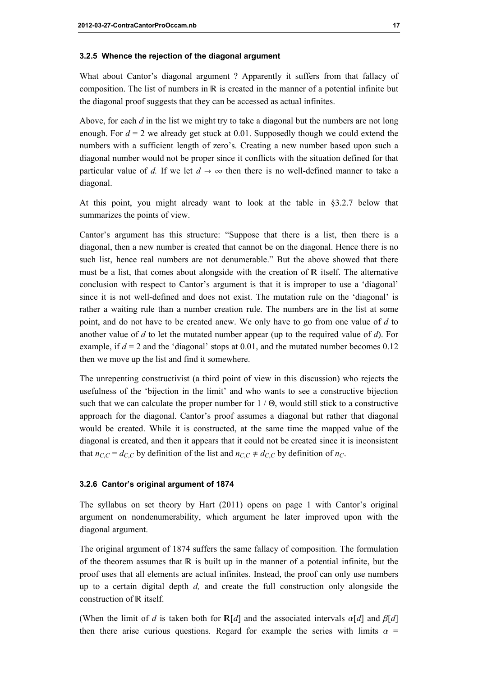#### 3.2.5 Whence the rejection of the diagonal argument

What about Cantor's diagonal argument ? Apparently it suffers from that fallacy of composition. The list of numbers in  $\mathbb R$  is created in the manner of a potential infinite but the diagonal proof suggests that they can be accessed as actual infinites.

Above, for each  $d$  in the list we might try to take a diagonal but the numbers are not long enough. For  $d = 2$  we already get stuck at 0.01. Supposedly though we could extend the numbers with a sufficient length of zero's. Creating a new number based upon such a diagonal number would not be proper since it conflicts with the situation defined for that particular value of d. If we let  $d \to \infty$  then there is no well-defined manner to take a diagonal.

At this point, you might already want to look at the table in §3.2.7 below that summarizes the points of view.

Cantor's argument has this structure: "Suppose that there is a list, then there is a diagonal, then a new number is created that cannot be on the diagonal. Hence there is no such list, hence real numbers are not denumerable." But the above showed that there must be a list, that comes about alongside with the creation of R itself. The alternative conclusion with respect to Cantor's argument is that it is improper to use a 'diagonal' since it is not well-defined and does not exist. The mutation rule on the 'diagonal' is rather a waiting rule than a number creation rule. The numbers are in the list at some point, and do not have to be created anew. We only have to go from one value of  $d$  to another value of d to let the mutated number appear (up to the required value of  $d$ ). For example, if  $d = 2$  and the 'diagonal' stops at 0.01, and the mutated number becomes 0.12 then we move up the list and find it somewhere.

The unrepenting constructivist (a third point of view in this discussion) who rejects the usefulness of the 'bijection in the limit' and who wants to see a constructive bijection such that we can calculate the proper number for  $1 / \Theta$ , would still stick to a constructive approach for the diagonal. Cantor's proof assumes a diagonal but rather that diagonal would be created. While it is constructed, at the same time the mapped value of the diagonal is created, and then it appears that it could not be created since it is inconsistent that  $n_{C,C} = d_{C,C}$  by definition of the list and  $n_{C,C} \neq d_{C,C}$  by definition of  $n_C$ .

#### 3.2.6 Cantor's original argument of 1874

The syllabus on set theory by Hart (2011) opens on page 1 with Cantor's original argument on nondenumerability, which argument he later improved upon with the diagonal argument.

The original argument of 1874 suffers the same fallacy of composition. The formulation of the theorem assumes that  $\mathbb R$  is built up in the manner of a potential infinite, but the proof uses that all elements are actual infinites. Instead, the proof can only use numbers up to a certain digital depth  $d$ , and create the full construction only alongside the construction of R itself.

(When the limit of d is taken both for  $\mathbb{R}[d]$  and the associated intervals  $\alpha[d]$  and  $\beta[d]$ then there arise curious questions. Regard for example the series with limits  $\alpha$  =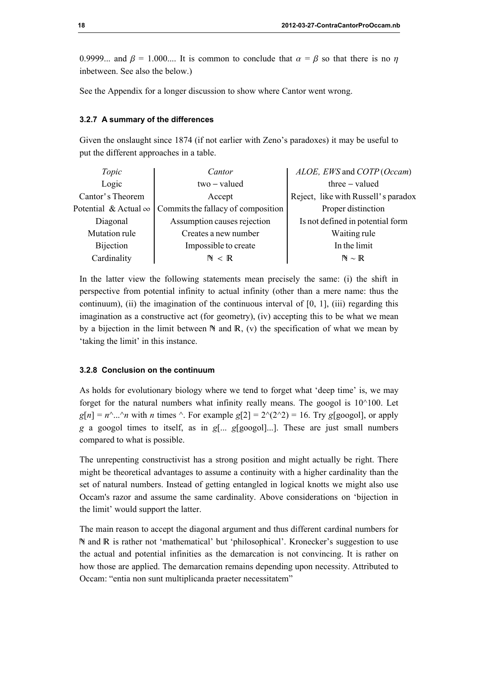0.9999... and  $\beta = 1.000...$  It is common to conclude that  $\alpha = \beta$  so that there is no n inbetween. See also the below.)

See the Appendix for a longer discussion to show where Cantor went wrong.

#### 3.2.7 A summary of the differences

Given the onslaught since 1874 (if not earlier with Zeno's paradoxes) it may be useful to put the different approaches in a table.

| Topic                       | Cantor                             | ALOE, EWS and COTP (Occam)          |  |  |
|-----------------------------|------------------------------------|-------------------------------------|--|--|
| Logic                       | two - valued                       | $three - valued$                    |  |  |
| Cantor's Theorem            | Accept                             | Reject, like with Russell's paradox |  |  |
| Potential & Actual $\infty$ | Commits the fallacy of composition | Proper distinction                  |  |  |
| Diagonal                    | Assumption causes rejection        | Is not defined in potential form    |  |  |
| Mutation rule               | Creates a new number               | Waiting rule                        |  |  |
| <b>Bijection</b>            | Impossible to create               | In the limit                        |  |  |
| Cardinality                 | $\mathbb{N} \, < \, \mathbb{R}$    | $N \sim R$                          |  |  |

In the latter view the following statements mean precisely the same: (i) the shift in perspective from potential infinity to actual infinity (other than a mere name: thus the continuum), (ii) the imagination of the continuous interval of [0, 1], (iii) regarding this imagination as a constructive act (for geometry), (iv) accepting this to be what we mean by a bijection in the limit between  $\mathbb N$  and  $\mathbb R$ , (v) the specification of what we mean by 'taking the limit' in this instance.

#### 3.2.8 Conclusion on the continuum

As holds for evolutionary biology where we tend to forget what 'deep time' is, we may forget for the natural numbers what infinity really means. The googol is  $10^{\circ}100$ . Let  $g[n] = n^{\hat{ }}...^{\hat{ }}n$  with *n* times  $\hat{ }$ . For example  $g[2] = 2^{\hat{ }}(2^{\hat{ }}2) = 16$ . Try g[googol], or apply g a googol times to itself, as in g[... g[googol]...]. These are just small numbers compared to what is possible.

The unrepenting constructivist has a strong position and might actually be right. There might be theoretical advantages to assume a continuity with a higher cardinality than the set of natural numbers. Instead of getting entangled in logical knotts we might also use Occam's razor and assume the same cardinality. Above considerations on 'bijection in the limit' would support the latter.

The main reason to accept the diagonal argument and thus different cardinal numbers for N and R is rather not 'mathematical' but 'philosophical'. Kronecker's suggestion to use the actual and potential infinities as the demarcation is not convincing. It is rather on how those are applied. The demarcation remains depending upon necessity. Attributed to Occam: "entia non sunt multiplicanda praeter necessitatem"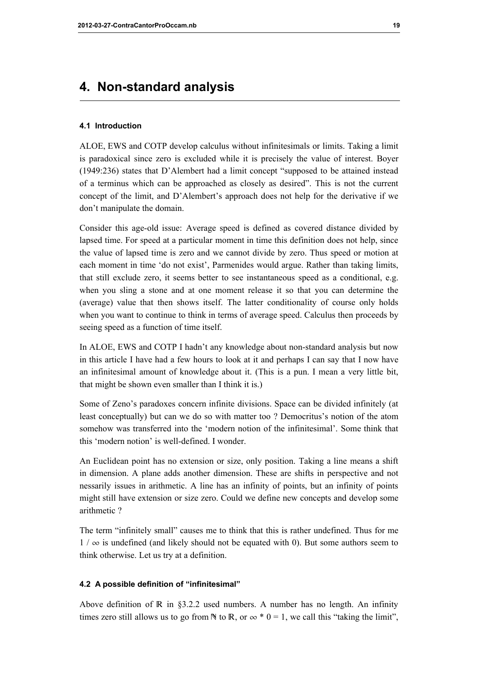# 4. Non-standard analysis

#### 4.1 Introduction

ALOE, EWS and COTP develop calculus without infinitesimals or limits. Taking a limit is paradoxical since zero is excluded while it is precisely the value of interest. Boyer (1949:236) states that D'Alembert had a limit concept "supposed to be attained instead of a terminus which can be approached as closely as desired". This is not the current concept of the limit, and D'Alembert's approach does not help for the derivative if we don't manipulate the domain.

Consider this age-old issue: Average speed is defined as covered distance divided by lapsed time. For speed at a particular moment in time this definition does not help, since the value of lapsed time is zero and we cannot divide by zero. Thus speed or motion at each moment in time 'do not exist', Parmenides would argue. Rather than taking limits, that still exclude zero, it seems better to see instantaneous speed as a conditional, e.g. when you sling a stone and at one moment release it so that you can determine the (average) value that then shows itself. The latter conditionality of course only holds when you want to continue to think in terms of average speed. Calculus then proceeds by seeing speed as a function of time itself.

In ALOE, EWS and COTP I hadn't any knowledge about non-standard analysis but now in this article I have had a few hours to look at it and perhaps I can say that I now have an infinitesimal amount of knowledge about it. (This is a pun. I mean a very little bit, that might be shown even smaller than I think it is.)

Some of Zeno's paradoxes concern infinite divisions. Space can be divided infinitely (at least conceptually) but can we do so with matter too ? Democritus's notion of the atom somehow was transferred into the 'modern notion of the infinitesimal'. Some think that this 'modern notion' is well-defined. I wonder.

An Euclidean point has no extension or size, only position. Taking a line means a shift in dimension. A plane adds another dimension. These are shifts in perspective and not nessarily issues in arithmetic. A line has an infinity of points, but an infinity of points might still have extension or size zero. Could we define new concepts and develop some arithmetic ?

The term "infinitely small" causes me to think that this is rather undefined. Thus for me  $1 / \infty$  is undefined (and likely should not be equated with 0). But some authors seem to think otherwise. Let us try at a definition.

#### 4.2 A possible definition of "infinitesimal"

Above definition of  $\mathbb R$  in §3.2.2 used numbers. A number has no length. An infinity times zero still allows us to go from  $\mathbb N$  to  $\mathbb R$ , or  $\infty * 0 = 1$ , we call this "taking the limit",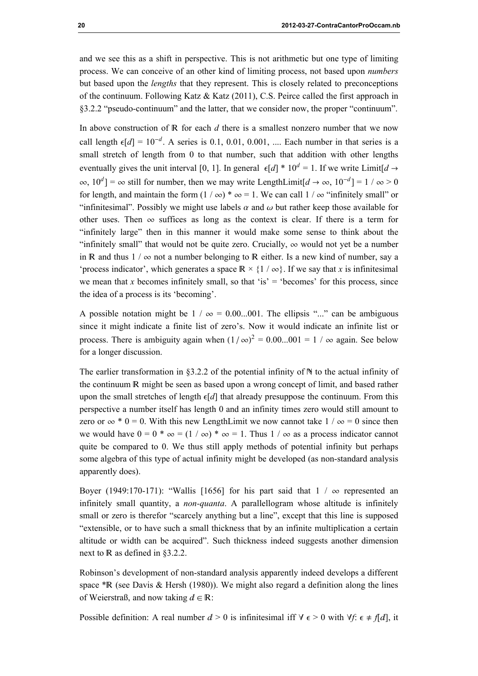and we see this as a shift in perspective. This is not arithmetic but one type of limiting process. We can conceive of an other kind of limiting process, not based upon numbers but based upon the lengths that they represent. This is closely related to preconceptions of the continuum. Following Katz  $&$  Katz (2011), C.S. Peirce called the first approach in §3.2.2 "pseudo-continuum" and the latter, that we consider now, the proper "continuum".

In above construction of  $\mathbb R$  for each  $d$  there is a smallest nonzero number that we now call length  $\epsilon[d] = 10^{-d}$ . A series is 0.1, 0.01, 0.001, .... Each number in that series is a small stretch of length from 0 to that number, such that addition with other lengths eventually gives the unit interval [0, 1]. In general  $\epsilon[d]$  \*  $10^d$  = 1. If we write Limit[d  $\rightarrow$  $\infty$ ,  $10^d$ ] =  $\infty$  still for number, then we may write LengthLimit[ $d \to \infty$ ,  $10^{-d}$ ] = 1 /  $\infty > 0$ for length, and maintain the form  $(1 / \infty) * \infty = 1$ . We can call  $1 / \infty$  "infinitely small" or "infinitesimal". Possibly we might use labels  $\alpha$  and  $\omega$  but rather keep those available for other uses. Then  $\infty$  suffices as long as the context is clear. If there is a term for "infinitely large" then in this manner it would make some sense to think about the "infinitely small" that would not be quite zero. Crucially,  $\infty$  would not yet be a number in R and thus  $1 / \infty$  not a number belonging to R either. Is a new kind of number, say a 'process indicator', which generates a space  $\mathbb{R} \times \{1 \mid \infty\}$ . If we say that x is infinitesimal we mean that x becomes infinitely small, so that 'is'  $=$  'becomes' for this process, since the idea of a process is its 'becoming'.

A possible notation might be  $1 / \infty = 0.00...001$ . The ellipsis "..." can be ambiguous since it might indicate a finite list of zero's. Now it would indicate an infinite list or process. There is ambiguity again when  $(1/\infty)^2 = 0.00...001 = 1 / \infty$  again. See below for a longer discussion.

The earlier transformation in  $\S 3.2.2$  of the potential infinity of  $N$  to the actual infinity of the continuum R might be seen as based upon a wrong concept of limit, and based rather upon the small stretches of length  $\epsilon[d]$  that already presuppose the continuum. From this perspective a number itself has length 0 and an infinity times zero would still amount to zero or  $\infty$  \* 0 = 0. With this new LengthLimit we now cannot take  $1 / \infty = 0$  since then we would have  $0 = 0$  \*  $\infty = (1 / \infty)$  \*  $\infty = 1$ . Thus  $1 / \infty$  as a process indicator cannot quite be compared to 0. We thus still apply methods of potential infinity but perhaps some algebra of this type of actual infinity might be developed (as non-standard analysis apparently does).

Boyer (1949:170-171): "Wallis [1656] for his part said that  $1 / \infty$  represented an infinitely small quantity, a *non-quanta*. A parallellogram whose altitude is infinitely small or zero is therefor "scarcely anything but a line", except that this line is supposed "extensible, or to have such a small thickness that by an infinite multiplication a certain altitude or width can be acquired". Such thickness indeed suggests another dimension next to  $\mathbb R$  as defined in §3.2.2.

Robinson's development of non-standard analysis apparently indeed develops a different space  $*R$  (see Davis & Hersh (1980)). We might also regard a definition along the lines of Weierstraß, and now taking  $d \in \mathbb{R}$ :

Possible definition: A real number  $d > 0$  is infinitesimal iff  $\forall \epsilon > 0$  with  $\forall f: \epsilon \neq f[d]$ , it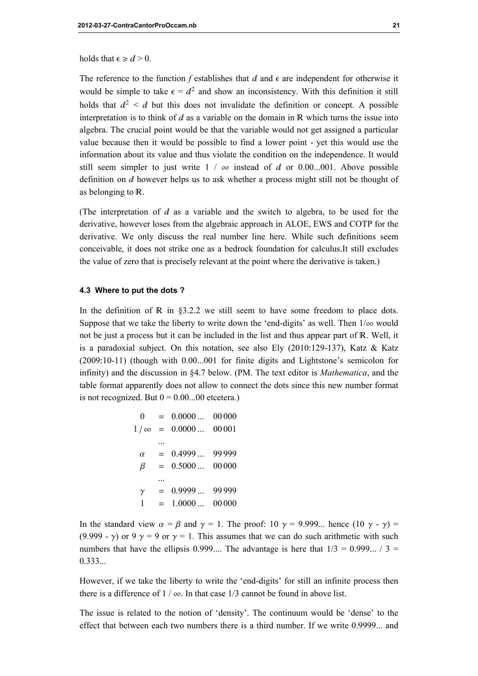holds that  $\epsilon \ge d > 0$ .

The reference to the function f establishes that  $d$  and  $\epsilon$  are independent for otherwise it would be simple to take  $\epsilon = d^2$  and show an inconsistency. With this definition it still holds that  $d^2 \le d$  but this does not invalidate the definition or concept. A possible interpretation is to think of  $d$  as a variable on the domain in  $\mathbb R$  which turns the issue into algebra. The crucial point would be that the variable would not get assigned a particular value because then it would be possible to find a lower point - yet this would use the information about its value and thus violate the condition on the independence. It would still seem simpler to just write  $1 / \infty$  instead of d or 0.00...001. Above possible definition on  $d$  however helps us to ask whether a process might still not be thought of as belonging to R.

(The interpretation of  $d$  as a variable and the switch to algebra, to be used for the derivative, however loses from the algebraic approach in ALOE, EWS and COTP for the derivative. We only discuss the real number line here. While such definitions seem conceivable, it does not strike one as a bedrock foundation for calculus.It still excludes the value of zero that is precisely relevant at the point where the derivative is taken.)

#### 4.3 Where to put the dots ?

In the definition of  $\mathbb R$  in §3.2.2 we still seem to have some freedom to place dots. Suppose that we take the liberty to write down the 'end-digits' as well. Then  $1/\infty$  would not be just a process but it can be included in the list and thus appear part of R. Well, it is a paradoxial subject. On this notation, see also Ely  $(2010:129-137)$ , Katz & Katz (2009:10-11) (though with 0.00...001 for finite digits and Lightstone's semicolon for infinity) and the discussion in §4.7 below. (PM. The text editor is Mathematica, and the table format apparently does not allow to connect the dots since this new number format is not recognized. But  $0 = 0.00...00$  etcetera.)

$$
0 = 0.0000 ... 00000
$$
  
\n
$$
1/\infty = 0.0000 ... 00001
$$
  
\n...\n
$$
\alpha = 0.4999 ... 99999
$$
  
\n
$$
\beta = 0.5000 ... 00000
$$
  
\n...\n
$$
\gamma = 0.9999 ... 99999
$$
  
\n
$$
1 = 1.0000 ... 00000
$$

In the standard view  $\alpha = \beta$  and  $\gamma = 1$ . The proof: 10  $\gamma = 9.999...$  hence (10  $\gamma = \gamma$ ) = (9.999 -  $\gamma$ ) or 9  $\gamma$  = 9 or  $\gamma$  = 1. This assumes that we can do such arithmetic with such numbers that have the ellipsis 0.999.... The advantage is here that  $1/3 = 0.999... / 3 =$ 0.333...

However, if we take the liberty to write the 'end-digits' for still an infinite process then there is a difference of  $1 / \infty$ . In that case 1/3 cannot be found in above list.

The issue is related to the notion of 'density'. The continuum would be 'dense' to the effect that between each two numbers there is a third number. If we write 0.9999... and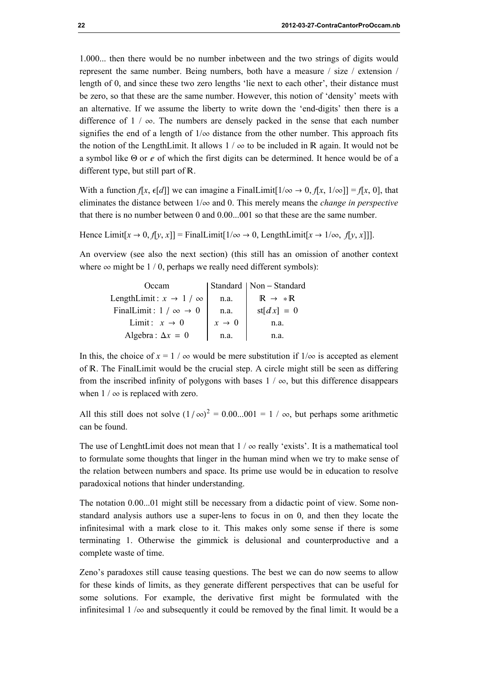1.000... then there would be no number inbetween and the two strings of digits would represent the same number. Being numbers, both have a measure / size / extension / length of 0, and since these two zero lengths 'lie next to each other', their distance must be zero, so that these are the same number. However, this notion of 'density' meets with an alternative. If we assume the liberty to write down the 'end-digits' then there is a difference of  $1 / \infty$ . The numbers are densely packed in the sense that each number signifies the end of a length of  $1/\infty$  distance from the other number. This approach fits the notion of the LengthLimit. It allows  $1 / \infty$  to be included in R again. It would not be a symbol like  $\Theta$  or  $e$  of which the first digits can be determined. It hence would be of a different type, but still part of  $\mathbb R$ .

With a function  $f[x, \epsilon[d]]$  we can imagine a FinalLimit[ $1/\infty \to 0$ ,  $f[x, 1/\infty]] = f[x, 0]$ , that eliminates the distance between  $1/\infty$  and 0. This merely means the *change in perspective* that there is no number between 0 and 0.00...001 so that these are the same number.

Hence Limit[ $x \to 0$ ,  $f[y, x]$ ] = FinalLimit[ $1/\infty \to 0$ , LengthLimit[ $x \to 1/\infty$ ,  $f[y, x]$ ]].

An overview (see also the next section) (this still has an omission of another context where  $\infty$  might be 1 / 0, perhaps we really need different symbols):

| Occam                                   |                   | Standard   Non - Standard             |  |
|-----------------------------------------|-------------------|---------------------------------------|--|
| LengthLimit: $x \rightarrow 1 / \infty$ | n.a.              | $\mathbb{R} \rightarrow * \mathbb{R}$ |  |
| FinalLimit: $1 / \infty \rightarrow 0$  | n.a.              | $st[dx] = 0$                          |  |
| Limit: $x \to 0$                        | $x \rightarrow 0$ | n.a.                                  |  |
| Algebra: $\Delta x = 0$                 | n.a.              | n.a.                                  |  |

In this, the choice of  $x = 1 / \infty$  would be mere substitution if  $1/\infty$  is accepted as element of R. The FinalLimit would be the crucial step. A circle might still be seen as differing from the inscribed infinity of polygons with bases  $1 / \infty$ , but this difference disappears when  $1 / \infty$  is replaced with zero.

All this still does not solve  $(1/\infty)^2 = 0.00...001 = 1 / \infty$ , but perhaps some arithmetic can be found.

The use of LenghtLimit does not mean that  $1 / \infty$  really 'exists'. It is a mathematical tool to formulate some thoughts that linger in the human mind when we try to make sense of the relation between numbers and space. Its prime use would be in education to resolve paradoxical notions that hinder understanding.

The notation 0.00...01 might still be necessary from a didactic point of view. Some nonstandard analysis authors use a super-lens to focus in on 0, and then they locate the infinitesimal with a mark close to it. This makes only some sense if there is some terminating 1. Otherwise the gimmick is delusional and counterproductive and a complete waste of time.

Zeno's paradoxes still cause teasing questions. The best we can do now seems to allow for these kinds of limits, as they generate different perspectives that can be useful for some solutions. For example, the derivative first might be formulated with the infinitesimal  $1/\infty$  and subsequently it could be removed by the final limit. It would be a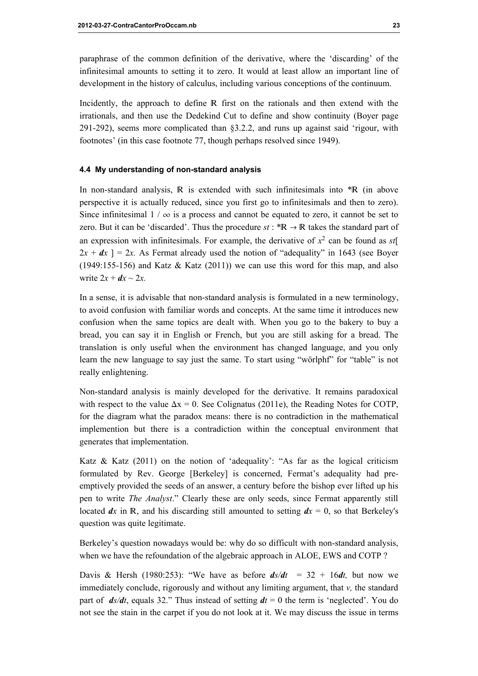paraphrase of the common definition of the derivative, where the 'discarding' of the infinitesimal amounts to setting it to zero. It would at least allow an important line of development in the history of calculus, including various conceptions of the continuum.

Incidently, the approach to define  $\mathbb R$  first on the rationals and then extend with the irrationals, and then use the Dedekind Cut to define and show continuity (Boyer page 291-292), seems more complicated than §3.2.2, and runs up against said 'rigour, with footnotes' (in this case footnote 77, though perhaps resolved since 1949).

#### 4.4 My understanding of non-standard analysis

In non-standard analysis,  $\mathbb R$  is extended with such infinitesimals into  $* \mathbb R$  (in above perspective it is actually reduced, since you first go to infinitesimals and then to zero). Since infinitesimal  $1 / \infty$  is a process and cannot be equated to zero, it cannot be set to zero. But it can be 'discarded'. Thus the procedure  $st : {}^{*}R \rightarrow R$  takes the standard part of an expression with infinitesimals. For example, the derivative of  $x^2$  can be found as st[  $2x + dx$  ] = 2x. As Fermat already used the notion of "adequality" in 1643 (see Boyer  $(1949:155-156)$  and Katz  $\&$  Katz  $(2011)$ ) we can use this word for this map, and also write  $2x + dx \sim 2x$ .

In a sense, it is advisable that non-standard analysis is formulated in a new terminology, to avoid confusion with familiar words and concepts. At the same time it introduces new confusion when the same topics are dealt with. When you go to the bakery to buy a bread, you can say it in English or French, but you are still asking for a bread. The translation is only useful when the environment has changed language, and you only learn the new language to say just the same. To start using "wörlphf" for "table" is not really enlightening.

Non-standard analysis is mainly developed for the derivative. It remains paradoxical with respect to the value  $\Delta x = 0$ . See Colignatus (2011e), the Reading Notes for COTP, for the diagram what the paradox means: there is no contradiction in the mathematical implemention but there is a contradiction within the conceptual environment that generates that implementation.

Katz & Katz  $(2011)$  on the notion of 'adequality': "As far as the logical criticism formulated by Rev. George [Berkeley] is concerned, Fermat's adequality had preemptively provided the seeds of an answer, a century before the bishop ever lifted up his pen to write The Analyst." Clearly these are only seeds, since Fermat apparently still located dx in R, and his discarding still amounted to setting  $dx = 0$ , so that Berkeley's question was quite legitimate.

Berkeley's question nowadays would be: why do so difficult with non-standard analysis, when we have the refoundation of the algebraic approach in ALOE, EWS and COTP ?

Davis & Hersh (1980:253): "We have as before  $ds/dt = 32 + 16dt$ , but now we immediately conclude, rigorously and without any limiting argument, that  $\nu$ , the standard part of  $ds/dt$ , equals 32." Thus instead of setting  $dt = 0$  the term is 'neglected'. You do not see the stain in the carpet if you do not look at it. We may discuss the issue in terms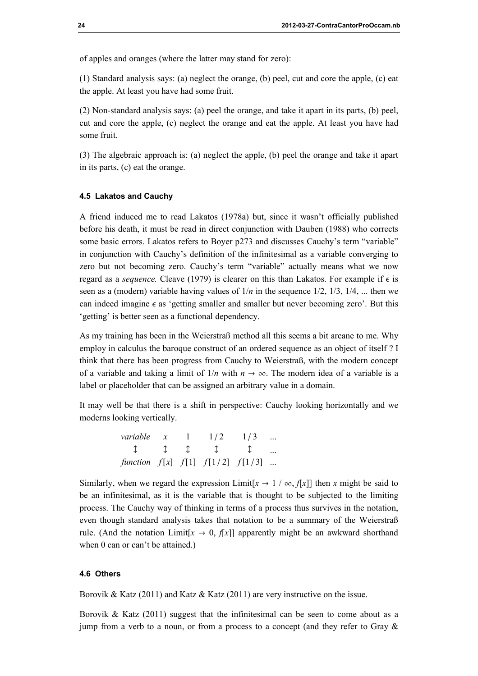of apples and oranges (where the latter may stand for zero):

(1) Standard analysis says: (a) neglect the orange, (b) peel, cut and core the apple, (c) eat the apple. At least you have had some fruit.

(2) Non-standard analysis says: (a) peel the orange, and take it apart in its parts, (b) peel, cut and core the apple, (c) neglect the orange and eat the apple. At least you have had some fruit.

(3) The algebraic approach is: (a) neglect the apple, (b) peel the orange and take it apart in its parts, (c) eat the orange.

#### 4.5 Lakatos and Cauchy

A friend induced me to read Lakatos (1978a) but, since it wasn't officially published before his death, it must be read in direct conjunction with Dauben (1988) who corrects some basic errors. Lakatos refers to Boyer p273 and discusses Cauchy's term "variable" in conjunction with Cauchy's definition of the infinitesimal as a variable converging to zero but not becoming zero. Cauchy's term "variable" actually means what we now regard as a *sequence*. Cleave (1979) is clearer on this than Lakatos. For example if  $\epsilon$  is seen as a (modern) variable having values of  $1/n$  in the sequence  $1/2$ ,  $1/3$ ,  $1/4$ , ... then we can indeed imagine  $\epsilon$  as 'getting smaller and smaller but never becoming zero'. But this 'getting' is better seen as a functional dependency.

As my training has been in the Weierstraß method all this seems a bit arcane to me. Why employ in calculus the baroque construct of an ordered sequence as an object of itself ? I think that there has been progress from Cauchy to Weierstraß, with the modern concept of a variable and taking a limit of  $1/n$  with  $n \to \infty$ . The modern idea of a variable is a label or placeholder that can be assigned an arbitrary value in a domain.

It may well be that there is a shift in perspective: Cauchy looking horizontally and we moderns looking vertically.

| variable x                                                       |  | 1/2 | 1/3          |  |
|------------------------------------------------------------------|--|-----|--------------|--|
| $\mathbb{R}$ $\mathbb{R}$ $\mathbb{R}$ $\mathbb{R}$ $\mathbb{R}$ |  |     | $\mathbb{T}$ |  |
| function $f[x]$ $f[1]$ $f[1/2]$ $f[1/3]$                         |  |     |              |  |

Similarly, when we regard the expression Limit[ $x \to 1 / \infty$ ,  $f[x]$ ] then x might be said to be an infinitesimal, as it is the variable that is thought to be subjected to the limiting process. The Cauchy way of thinking in terms of a process thus survives in the notation, even though standard analysis takes that notation to be a summary of the Weierstraß rule. (And the notation Limit[ $x \to 0$ ,  $f[x]$ ] apparently might be an awkward shorthand when 0 can or can't be attained.)

#### 4.6 Others

Borovik & Katz (2011) and Katz & Katz (2011) are very instructive on the issue.

Borovik & Katz (2011) suggest that the infinitesimal can be seen to come about as a jump from a verb to a noun, or from a process to a concept (and they refer to Gray &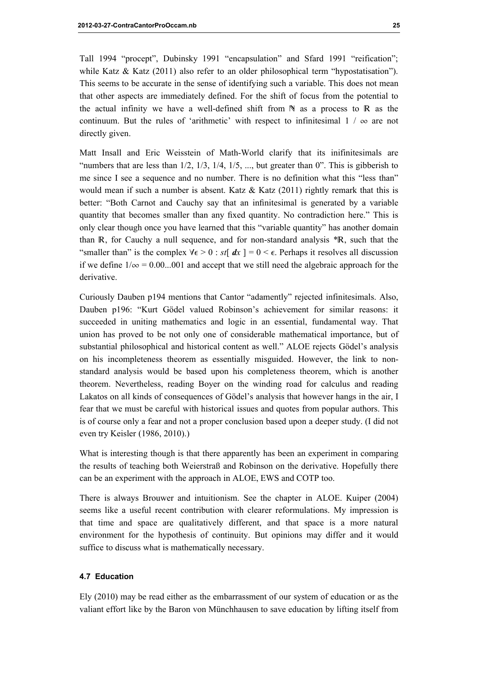Tall 1994 "procept", Dubinsky 1991 "encapsulation" and Sfard 1991 "reification"; while Katz & Katz (2011) also refer to an older philosophical term "hypostatisation"). This seems to be accurate in the sense of identifying such a variable. This does not mean that other aspects are immediately defined. For the shift of focus from the potential to the actual infinity we have a well-defined shift from  $\mathbb N$  as a process to  $\mathbb R$  as the continuum. But the rules of 'arithmetic' with respect to infinitesimal  $1 / \infty$  are not directly given.

Matt Insall and Eric Weisstein of Math-World clarify that its inifinitesimals are "numbers that are less than  $1/2$ ,  $1/3$ ,  $1/4$ ,  $1/5$ , ..., but greater than 0". This is gibberish to me since I see a sequence and no number. There is no definition what this "less than" would mean if such a number is absent. Katz  $&$  Katz (2011) rightly remark that this is better: "Both Carnot and Cauchy say that an infinitesimal is generated by a variable quantity that becomes smaller than any fixed quantity. No contradiction here." This is only clear though once you have learned that this "variable quantity" has another domain than R, for Cauchy a null sequence, and for non-standard analysis \*R, such that the "smaller than" is the complex  $\forall \epsilon > 0$ : st[  $dx$  ] = 0 <  $\epsilon$ . Perhaps it resolves all discussion if we define  $1/\infty = 0.00...001$  and accept that we still need the algebraic approach for the derivative.

Curiously Dauben p194 mentions that Cantor "adamently" rejected infinitesimals. Also, Dauben p196: "Kurt Gödel valued Robinson's achievement for similar reasons: it succeeded in uniting mathematics and logic in an essential, fundamental way. That union has proved to be not only one of considerable mathematical importance, but of substantial philosophical and historical content as well." ALOE rejects Gödel's analysis on his incompleteness theorem as essentially misguided. However, the link to nonstandard analysis would be based upon his completeness theorem, which is another theorem. Nevertheless, reading Boyer on the winding road for calculus and reading Lakatos on all kinds of consequences of Gödel's analysis that however hangs in the air, I fear that we must be careful with historical issues and quotes from popular authors. This is of course only a fear and not a proper conclusion based upon a deeper study. (I did not even try Keisler (1986, 2010).)

What is interesting though is that there apparently has been an experiment in comparing the results of teaching both Weierstraß and Robinson on the derivative. Hopefully there can be an experiment with the approach in ALOE, EWS and COTP too.

There is always Brouwer and intuitionism. See the chapter in ALOE. Kuiper (2004) seems like a useful recent contribution with clearer reformulations. My impression is that time and space are qualitatively different, and that space is a more natural environment for the hypothesis of continuity. But opinions may differ and it would suffice to discuss what is mathematically necessary.

## 4.7 Education

Ely (2010) may be read either as the embarrassment of our system of education or as the valiant effort like by the Baron von Münchhausen to save education by lifting itself from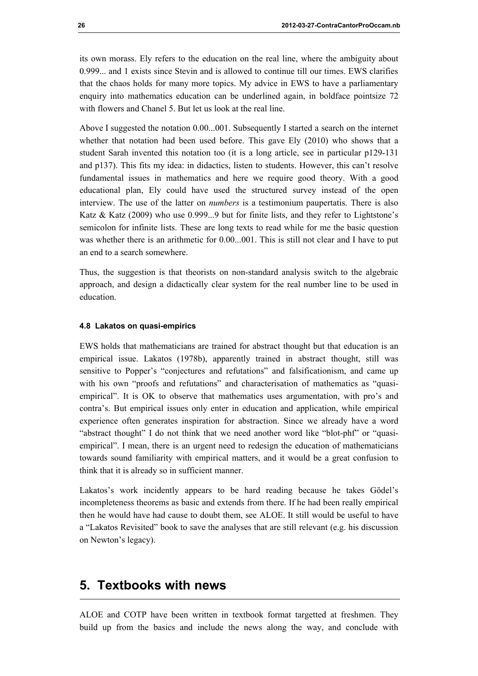its own morass. Ely refers to the education on the real line, where the ambiguity about 0.999... and 1 exists since Stevin and is allowed to continue till our times. EWS clarifies that the chaos holds for many more topics. My advice in EWS to have a parliamentary enquiry into mathematics education can be underlined again, in boldface pointsize 72 with flowers and Chanel 5. But let us look at the real line.

Above I suggested the notation 0.00...001. Subsequently I started a search on the internet whether that notation had been used before. This gave Ely (2010) who shows that a student Sarah invented this notation too (it is a long article, see in particular p129-131 and p137). This fits my idea: in didactics, listen to students. However, this can't resolve fundamental issues in mathematics and here we require good theory. With a good educational plan, Ely could have used the structured survey instead of the open interview. The use of the latter on *numbers* is a testimonium paupertatis. There is also Katz & Katz (2009) who use 0.999...9 but for finite lists, and they refer to Lightstone's semicolon for infinite lists. These are long texts to read while for me the basic question was whether there is an arithmetic for 0.00...001. This is still not clear and I have to put an end to a search somewhere.

Thus, the suggestion is that theorists on non-standard analysis switch to the algebraic approach, and design a didactically clear system for the real number line to be used in education.

#### 4.8 Lakatos on quasi-empirics

EWS holds that mathematicians are trained for abstract thought but that education is an empirical issue. Lakatos (1978b), apparently trained in abstract thought, still was sensitive to Popper's "conjectures and refutations" and falsificationism, and came up with his own "proofs and refutations" and characterisation of mathematics as "quasiempirical". It is OK to observe that mathematics uses argumentation, with pro's and contra's. But empirical issues only enter in education and application, while empirical experience often generates inspiration for abstraction. Since we already have a word "abstract thought" I do not think that we need another word like "blot-phf" or "quasiempirical". I mean, there is an urgent need to redesign the education of mathematicians towards sound familiarity with empirical matters, and it would be a great confusion to think that it is already so in sufficient manner.

Lakatos's work incidently appears to be hard reading because he takes Gödel's incompleteness theorems as basic and extends from there. If he had been really empirical then he would have had cause to doubt them, see ALOE. It still would be useful to have a "Lakatos Revisited" book to save the analyses that are still relevant (e.g. his discussion on Newton's legacy).

# 5. Textbooks with news

ALOE and COTP have been written in textbook format targetted at freshmen. They build up from the basics and include the news along the way, and conclude with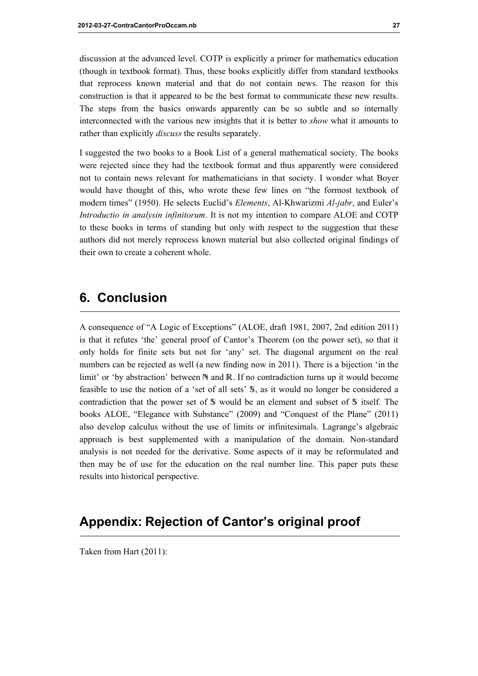discussion at the advanced level. COTP is explicitly a primer for mathematics education (though in textbook format). Thus, these books explicitly differ from standard textbooks that reprocess known material and that do not contain news. The reason for this construction is that it appeared to be the best format to communicate these new results. The steps from the basics onwards apparently can be so subtle and so internally interconnected with the various new insights that it is better to show what it amounts to rather than explicitly *discuss* the results separately.

I suggested the two books to a Book List of a general mathematical society. The books were rejected since they had the textbook format and thus apparently were considered not to contain news relevant for mathematicians in that society. I wonder what Boyer would have thought of this, who wrote these few lines on "the formost textbook of modern times" (1950). He selects Euclid's *Elements*, Al-Khwarizmi *Al-jabr*, and Euler's Introductio in analysin infinitorum. It is not my intention to compare ALOE and COTP to these books in terms of standing but only with respect to the suggestion that these authors did not merely reprocess known material but also collected original findings of their own to create a coherent whole.

# 6. Conclusion

A consequence of "A Logic of Exceptions" (ALOE, draft 1981, 2007, 2nd edition 2011) is that it refutes 'the' general proof of Cantor's Theorem (on the power set), so that it only holds for finite sets but not for 'any' set. The diagonal argument on the real numbers can be rejected as well (a new finding now in 2011). There is a bijection 'in the limit' or 'by abstraction' between N and R. If no contradiction turns up it would become feasible to use the notion of a 'set of all sets' S, as it would no longer be considered a contradiction that the power set of  $\mathcal S$  would be an element and subset of  $\mathcal S$  itself. The books ALOE, "Elegance with Substance" (2009) and "Conquest of the Plane" (2011) also develop calculus without the use of limits or infinitesimals. Lagrange's algebraic approach is best supplemented with a manipulation of the domain. Non-standard analysis is not needed for the derivative. Some aspects of it may be reformulated and then may be of use for the education on the real number line. This paper puts these results into historical perspective.

# Appendix: Rejection of Cantor's original proof

Taken from Hart (2011):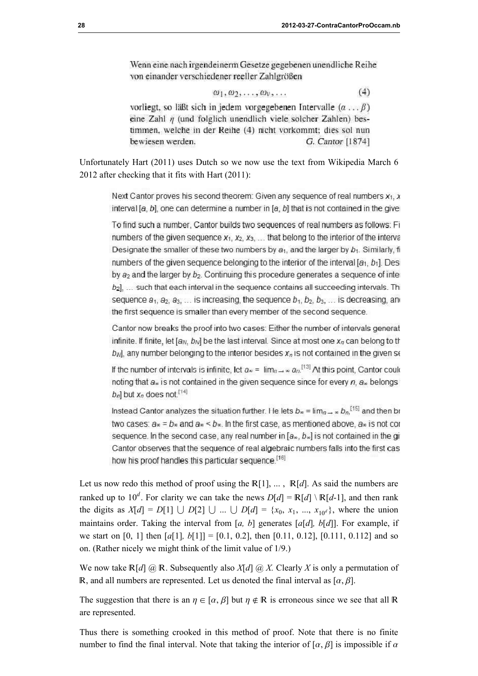Wenn eine nach irgendeinerm Gesetze gegebenen unendliche Reihe von einander verschiedener reeller Zahlgrößen

$$
\omega_1, \omega_2, \ldots, \omega_\nu, \ldots \tag{4}
$$

vorliegt, so läßt sich in jedem vorgegebenen Intervalle  $(\alpha \dots \beta)$ eine Zahl  $\eta$  (und folglich unendlich viele solcher Zahlen) bestimmen, welche in der Reihe (4) nicht vorkommt; dies sol nun bewiesen werden. G. Cantor [1874]

Unfortunately Hart (2011) uses Dutch so we now use the text from Wikipedia March 6 2012 after checking that it fits with Hart (2011):

Next Cantor proves his second theorem: Given any sequence of real numbers  $x_1$ , x interval [ $a$ ,  $b$ ], one can determine a number in [ $a$ ,  $b$ ] that is not contained in the giver

To find such a number, Cantor builds two sequences of real numbers as follows: Fi numbers of the given sequence  $x_1, x_2, x_3, \ldots$  that belong to the interior of the interva Designate the smaller of these two numbers by  $a_1$ , and the larger by  $b_1$ . Similarly, fi numbers of the given sequence belonging to the interior of the interval  $[a_1, b_1]$ . Desi by  $a_2$  and the larger by  $b_2$ . Continuing this procedure generates a sequence of inter  $b_2$ ], ... such that each interval in the sequence contains all succeeding intervals. Thi sequence  $a_1, a_2, a_3, \ldots$  is increasing, the sequence  $b_1, b_2, b_3, \ldots$  is decreasing, and the first sequence is smaller than every member of the second sequence.

Cantor now breaks the proof into two cases: Either the number of intervals generat infinite. If finite, let  $[a_N, b_N]$  be the last interval. Since at most one  $x_n$  can belong to the  $b_{N}$ , any number belonging to the interior besides  $x_{n}$  is not contained in the given set

If the number of intervals is infinite, let  $a_{\infty} = \lim_{n \to \infty} a_n$ <sup>[13]</sup> At this point, Cantor could noting that  $a_n$  is not contained in the given sequence since for every  $n$ ,  $a_n$  belongs  $b_n$ ] but  $x_n$  does not  $^{[14]}$ 

Instead Cantor analyzes the situation further. He lets  $b_{\infty} = \lim_{n \to \infty} b_n$ <sup>[15]</sup> and then br two cases:  $a_{\infty} = b_{\infty}$  and  $a_{\infty} < b_{\infty}$ . In the first case, as mentioned above,  $a_{\infty}$  is not con sequence. In the second case, any real number in  $[a_*, b_*]$  is not contained in the gi-Cantor observes that the sequence of real algebraic numbers falls into the first cas how his proof handles this particular sequence.<sup>[16]</sup>

Let us now redo this method of proof using the  $\mathbb{R}[1], \dots$ ,  $\mathbb{R}[d]$ . As said the numbers are ranked up to  $10^d$ . For clarity we can take the news  $D[d] = \mathbb{R}[d] \setminus \mathbb{R}[d-1]$ , and then rank the digits as  $X[d] = D[1] \cup D[2] \cup ... \cup D[d] = \{x_0, x_1, ..., x_{10^d}\}$ , where the union maintains order. Taking the interval from [a, b] generates  $[a[d], b[d]]$ . For example, if we start on [0, 1] then  $[a[1], b[1]] = [0.1, 0.2]$ , then [0.11, 0.12], [0.111, 0.112] and so on. (Rather nicely we might think of the limit value of 1/9.)

We now take  $\mathbb{R}[d]$  @ R. Subsequently also  $X[d]$  @ X. Clearly X is only a permutation of R, and all numbers are represented. Let us denoted the final interval as  $[\alpha, \beta]$ .

The suggestion that there is an  $\eta \in [\alpha, \beta]$  but  $\eta \notin \mathbb{R}$  is erroneous since we see that all R are represented.

Thus there is something crooked in this method of proof. Note that there is no finite number to find the final interval. Note that taking the interior of  $[\alpha, \beta]$  is impossible if  $\alpha$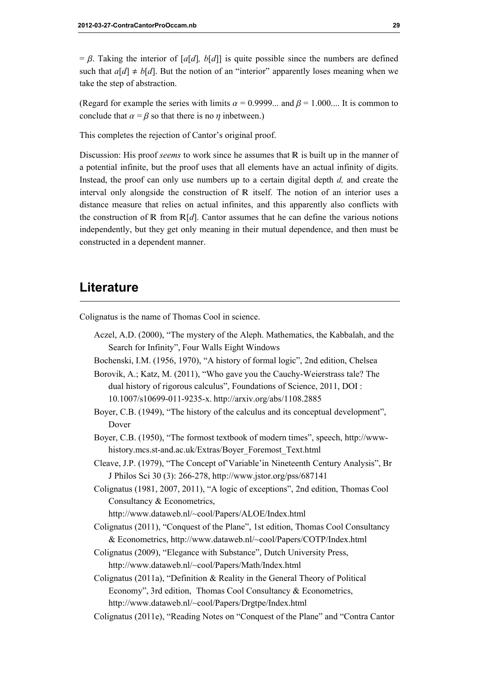$= \beta$ . Taking the interior of [a[d], b[d]] is quite possible since the numbers are defined such that  $a[d] \neq b[d]$ . But the notion of an "interior" apparently loses meaning when we take the step of abstraction.

(Regard for example the series with limits  $\alpha = 0.9999...$  and  $\beta = 1.000...$  It is common to conclude that  $\alpha = \beta$  so that there is no  $\eta$  inbetween.)

This completes the rejection of Cantor's original proof.

Discussion: His proof *seems* to work since he assumes that  $\mathbb R$  is built up in the manner of a potential infinite, but the proof uses that all elements have an actual infinity of digits. Instead, the proof can only use numbers up to a certain digital depth d, and create the interval only alongside the construction of  $R$  itself. The notion of an interior uses a distance measure that relies on actual infinites, and this apparently also conflicts with the construction of R from  $R[d]$ . Cantor assumes that he can define the various notions independently, but they get only meaning in their mutual dependence, and then must be constructed in a dependent manner.

# **Literature**

Colignatus is the name of Thomas Cool in science.

Aczel, A.D. (2000), "The mystery of the Aleph. Mathematics, the Kabbalah, and the Search for Infinity", Four Walls Eight Windows Bochenski, I.M. (1956, 1970), "A history of formal logic", 2nd edition, Chelsea

Borovik, A.; Katz, M. (2011), "Who gave you the Cauchy-Weierstrass tale? The dual history of rigorous calculus", Foundations of Science, 2011, DOI : 10.1007/s10699-011-9235-x. http://arxiv.org/abs/1108.2885

- Boyer, C.B. (1949), "The history of the calculus and its conceptual development", Dover
- Boyer, C.B. (1950), "The formost textbook of modern times", speech, http://wwwhistory.mcs.st-and.ac.uk/Extras/Boyer\_Foremost\_Text.html
- Cleave, J.P. (1979), "The Concept of'Variable'in Nineteenth Century Analysis", Br J Philos Sci 30 (3): 266-278, http://www.jstor.org/pss/687141
- Colignatus (1981, 2007, 2011), "A logic of exceptions", 2nd edition, Thomas Cool Consultancy & Econometrics,

http://www.dataweb.nl/~cool/Papers/ALOE/Index.html

Colignatus (2011), "Conquest of the Plane", 1st edition, Thomas Cool Consultancy & Econometrics, http://www.dataweb.nl/~cool/Papers/COTP/Index.html

- Colignatus (2009), "Elegance with Substance", Dutch University Press, http://www.dataweb.nl/~cool/Papers/Math/Index.html
- Colignatus (2011a), "Definition & Reality in the General Theory of Political Economy", 3rd edition, Thomas Cool Consultancy & Econometrics, http://www.dataweb.nl/~cool/Papers/Drgtpe/Index.html
- Colignatus (2011e), "Reading Notes on "Conquest of the Plane" and "Contra Cantor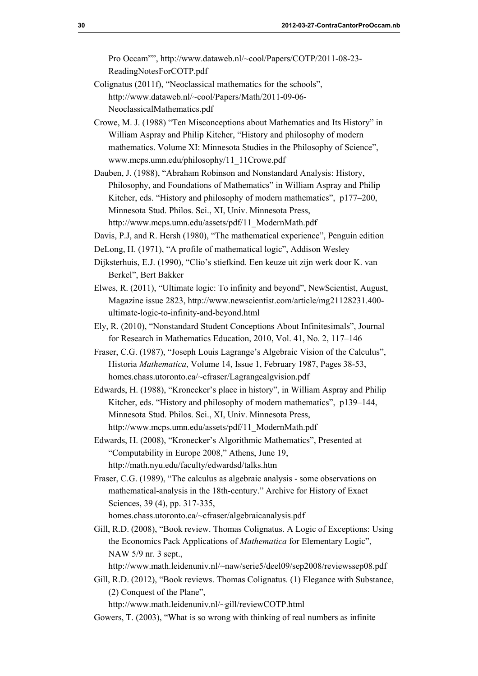Pro Occam"", http://www.dataweb.nl/~cool/Papers/COTP/2011-08-23- ReadingNotesForCOTP.pdf

- Colignatus (2011f), "Neoclassical mathematics for the schools", http://www.dataweb.nl/~cool/Papers/Math/2011-09-06- NeoclassicalMathematics.pdf
- Crowe, M. J. (1988) "Ten Misconceptions about Mathematics and Its History" in William Aspray and Philip Kitcher, "History and philosophy of modern mathematics. Volume XI: Minnesota Studies in the Philosophy of Science", www.mcps.umn.edu/philosophy/11\_11Crowe.pdf
- Dauben, J. (1988), "Abraham Robinson and Nonstandard Analysis: History, Philosophy, and Foundations of Mathematics" in William Aspray and Philip Kitcher, eds. "History and philosophy of modern mathematics", p177–200, Minnesota Stud. Philos. Sci., XI, Univ. Minnesota Press, http://www.mcps.umn.edu/assets/pdf/11\_ModernMath.pdf
- Davis, P.J, and R. Hersh (1980), "The mathematical experience", Penguin edition
- DeLong, H. (1971), "A profile of mathematical logic", Addison Wesley
- Dijksterhuis, E.J. (1990), "Clio's stiefkind. Een keuze uit zijn werk door K. van Berkel", Bert Bakker
- Elwes, R. (2011), "Ultimate logic: To infinity and beyond", NewScientist, August, Magazine issue 2823, http://www.newscientist.com/article/mg21128231.400 ultimate-logic-to-infinity-and-beyond.html
- Ely, R. (2010), "Nonstandard Student Conceptions About Infinitesimals", Journal for Research in Mathematics Education, 2010, Vol. 41, No. 2, 117–146
- Fraser, C.G. (1987), "Joseph Louis Lagrange's Algebraic Vision of the Calculus", Historia Mathematica, Volume 14, Issue 1, February 1987, Pages 38-53, homes.chass.utoronto.ca/~cfraser/Lagrangealgvision.pdf
- Edwards, H. (1988), "Kronecker's place in history", in William Aspray and Philip Kitcher, eds. "History and philosophy of modern mathematics", p139–144, Minnesota Stud. Philos. Sci., XI, Univ. Minnesota Press, http://www.mcps.umn.edu/assets/pdf/11\_ModernMath.pdf
- Edwards, H. (2008), "Kronecker's Algorithmic Mathematics", Presented at "Computability in Europe 2008," Athens, June 19, http://math.nyu.edu/faculty/edwardsd/talks.htm
- Fraser, C.G. (1989), "The calculus as algebraic analysis some observations on mathematical-analysis in the 18th-century." Archive for History of Exact Sciences, 39 (4), pp. 317-335, homes.chass.utoronto.ca/~cfraser/algebraicanalysis.pdf
- Gill, R.D. (2008), "Book review. Thomas Colignatus. A Logic of Exceptions: Using the Economics Pack Applications of Mathematica for Elementary Logic", NAW 5/9 nr. 3 sept.,

http://www.math.leidenuniv.nl/~naw/serie5/deel09/sep2008/reviewssep08.pdf

Gill, R.D. (2012), "Book reviews. Thomas Colignatus. (1) Elegance with Substance, (2) Conquest of the Plane",

http://www.math.leidenuniv.nl/~gill/reviewCOTP.html

Gowers, T. (2003), "What is so wrong with thinking of real numbers as infinite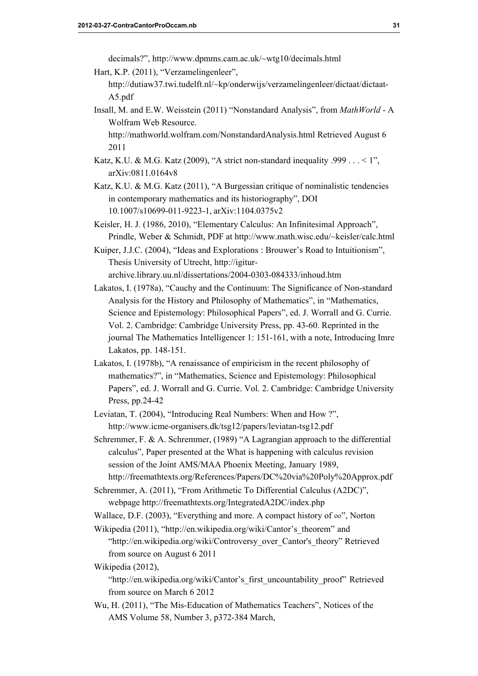decimals?", http://www.dpmms.cam.ac.uk/~wtg10/decimals.html

- Hart, K.P. (2011), "Verzamelingenleer",
	- http://dutiaw37.twi.tudelft.nl/~kp/onderwijs/verzamelingenleer/dictaat/dictaat-A5.pdf
- Insall, M. and E.W. Weisstein (2011) "Nonstandard Analysis", from MathWorld A Wolfram Web Resource.

http://mathworld.wolfram.com/NonstandardAnalysis.html Retrieved August 6 2011

- Katz, K.U. & M.G. Katz (2009), "A strict non-standard inequality .999 .  $\ldots$  < 1", arXiv:0811.0164v8
- Katz, K.U. & M.G. Katz (2011), "A Burgessian critique of nominalistic tendencies in contemporary mathematics and its historiography", DOI 10.1007/s10699-011-9223-1, arXiv:1104.0375v2
- Keisler, H. J. (1986, 2010), "Elementary Calculus: An Infinitesimal Approach", Prindle, Weber & Schmidt, PDF at http://www.math.wisc.edu/~keisler/calc.html
- Kuiper, J.J.C. (2004), "Ideas and Explorations : Brouwer's Road to Intuitionism", Thesis University of Utrecht, http://igiturarchive.library.uu.nl/dissertations/2004-0303-084333/inhoud.htm
- Lakatos, I. (1978a), "Cauchy and the Continuum: The Significance of Non-standard Analysis for the History and Philosophy of Mathematics", in "Mathematics, Science and Epistemology: Philosophical Papers", ed. J. Worrall and G. Currie. Vol. 2. Cambridge: Cambridge University Press, pp. 43-60. Reprinted in the journal The Mathematics Intelligencer 1: 151-161, with a note, Introducing Imre Lakatos, pp. 148-151.
- Lakatos, I. (1978b), "A renaissance of empiricism in the recent philosophy of mathematics?", in "Mathematics, Science and Epistemology: Philosophical Papers", ed. J. Worrall and G. Currie. Vol. 2. Cambridge: Cambridge University Press, pp.24-42
- Leviatan, T. (2004), "Introducing Real Numbers: When and How ?", http://www.icme-organisers.dk/tsg12/papers/leviatan-tsg12.pdf
- Schremmer, F. & A. Schremmer, (1989) "A Lagrangian approach to the differential calculus", Paper presented at the What is happening with calculus revision session of the Joint AMS/MAA Phoenix Meeting, January 1989, http://freemathtexts.org/References/Papers/DC%20via%20Poly%20Approx.pdf
- Schremmer, A. (2011), "From Arithmetic To Differential Calculus (A2DC)", webpage http://freemathtexts.org/IntegratedA2DC/index.php

Wallace, D.F. (2003), "Everything and more. A compact history of  $\infty$ ", Norton

Wikipedia (2011), "http://en.wikipedia.org/wiki/Cantor's theorem" and "http://en.wikipedia.org/wiki/Controversy\_over\_Cantor's\_theory" Retrieved from source on August 6 2011

Wikipedia (2012),

"http://en.wikipedia.org/wiki/Cantor's first uncountability proof" Retrieved from source on March 6 2012

Wu, H. (2011), "The Mis-Education of Mathematics Teachers", Notices of the AMS Volume 58, Number 3, p372-384 March,